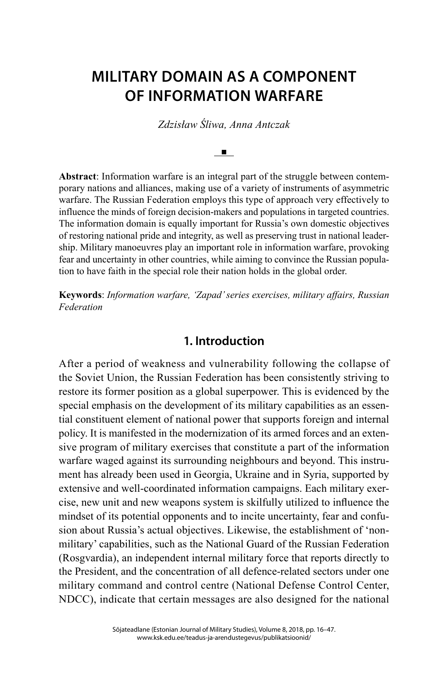# **MILITARY DOMAIN AS A COMPONENT OF INFORMATION WARFARE**

*Zdzisław Śliwa, Anna Antczak*

 $\mathbf{u}$  .

**Abstract**: Information warfare is an integral part of the struggle between contemporary nations and alliances, making use of a variety of instruments of asymmetric warfare. The Russian Federation employs this type of approach very effectively to influence the minds of foreign decision-makers and populations in targeted countries. The information domain is equally important for Russia's own domestic objectives of restoring national pride and integrity, as well as preserving trust in national leadership. Military manoeuvres play an important role in information warfare, provoking fear and uncertainty in other countries, while aiming to convince the Russian population to have faith in the special role their nation holds in the global order.

**Keywords**: *Information warfare, 'Zapad' series exercises, military affairs, Russian Federation*

#### **1. Introduction**

After a period of weakness and vulnerability following the collapse of the Soviet Union, the Russian Federation has been consistently striving to restore its former position as a global superpower. This is evidenced by the special emphasis on the development of its military capabilities as an essential constituent element of national power that supports foreign and internal policy. It is manifested in the modernization of its armed forces and an extensive program of military exercises that constitute a part of the information warfare waged against its surrounding neighbours and beyond. This instrument has already been used in Georgia, Ukraine and in Syria, supported by extensive and well-coordinated information campaigns. Each military exercise, new unit and new weapons system is skilfully utilized to influence the mindset of its potential opponents and to incite uncertainty, fear and confusion about Russia's actual objectives. Likewise, the establishment of 'nonmilitary' capabilities, such as the National Guard of the Russian Federation (Rosgvardia), an independent internal military force that reports directly to the President, and the concentration of all defence-related sectors under one military command and control centre (National Defense Control Center, NDCC), indicate that certain messages are also designed for the national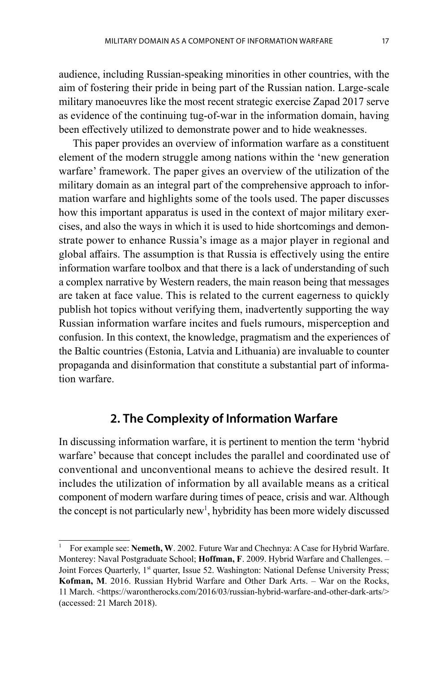audience, including Russian-speaking minorities in other countries, with the aim of fostering their pride in being part of the Russian nation. Large-scale military manoeuvres like the most recent strategic exercise Zapad 2017 serve as evidence of the continuing tug-of-war in the information domain, having been effectively utilized to demonstrate power and to hide weaknesses.

This paper provides an overview of information warfare as a constituent element of the modern struggle among nations within the 'new generation warfare' framework. The paper gives an overview of the utilization of the military domain as an integral part of the comprehensive approach to information warfare and highlights some of the tools used. The paper discusses how this important apparatus is used in the context of major military exercises, and also the ways in which it is used to hide shortcomings and demonstrate power to enhance Russia's image as a major player in regional and global affairs. The assumption is that Russia is effectively using the entire information warfare toolbox and that there is a lack of understanding of such a complex narrative by Western readers, the main reason being that messages are taken at face value. This is related to the current eagerness to quickly publish hot topics without verifying them, inadvertently supporting the way Russian information warfare incites and fuels rumours, misperception and confusion. In this context, the knowledge, pragmatism and the experiences of the Baltic countries (Estonia, Latvia and Lithuania) are invaluable to counter propaganda and disinformation that constitute a substantial part of information warfare.

## **2. The Complexity of Information Warfare**

In discussing information warfare, it is pertinent to mention the term 'hybrid warfare' because that concept includes the parallel and coordinated use of conventional and unconventional means to achieve the desired result. It includes the utilization of information by all available means as a critical component of modern warfare during times of peace, crisis and war. Although the concept is not particularly new<sup>1</sup>, hybridity has been more widely discussed

<sup>1</sup> For example see: **Nemeth, W**. 2002. Future War and Chechnya: A Case for Hybrid Warfare. Monterey: Naval Postgraduate School; **Hoffman, F**. 2009. Hybrid Warfare and Challenges. – Joint Forces Quarterly, 1<sup>st</sup> quarter, Issue 52. Washington: National Defense University Press; **Kofman, M**. 2016. Russian Hybrid Warfare and Other Dark Arts. – War on the Rocks, 11 March. <https://warontherocks.com/2016/03/russian-hybrid-warfare-and-other-dark-arts/> (accessed: 21 March 2018).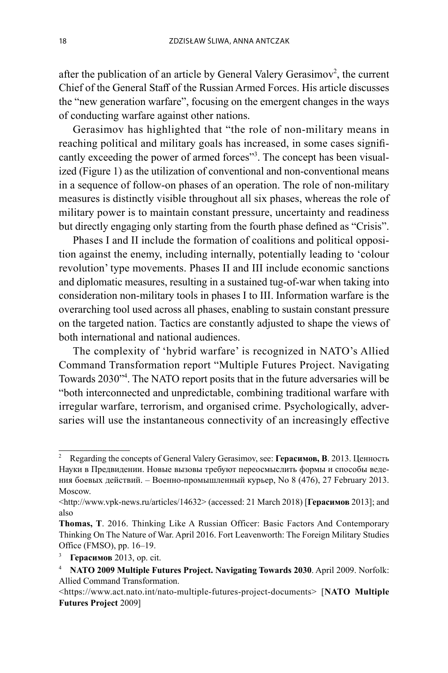after the publication of an article by General Valery Gerasimov<sup>2</sup>, the current Chief of the General Staff of the Russian Armed Forces. His article discusses the "new generation warfare", focusing on the emergent changes in the ways of conducting warfare against other nations.

Gerasimov has highlighted that "the role of non-military means in reaching political and military goals has increased, in some cases significantly exceeding the power of armed forces"<sup>3</sup>. The concept has been visualized (Figure 1) as the utilization of conventional and non-conventional means in a sequence of follow-on phases of an operation. The role of non-military measures is distinctly visible throughout all six phases, whereas the role of military power is to maintain constant pressure, uncertainty and readiness but directly engaging only starting from the fourth phase defined as "Crisis".

Phases I and II include the formation of coalitions and political opposition against the enemy, including internally, potentially leading to 'colour revolution' type movements. Phases II and III include economic sanctions and diplomatic measures, resulting in a sustained tug-of-war when taking into consideration non-military tools in phases I to III. Information warfare is the overarching tool used across all phases, enabling to sustain constant pressure on the targeted nation. Tactics are constantly adjusted to shape the views of both international and national audiences.

The complexity of 'hybrid warfare' is recognized in NATO's Allied Command Transformation report "Multiple Futures Project. Navigating Towards 2030"4 . The NATO report posits that in the future adversaries will be "both interconnected and unpredictable, combining traditional warfare with irregular warfare, terrorism, and organised crime. Psychologically, adversaries will use the instantaneous connectivity of an increasingly effective

<sup>2</sup> Regarding the concepts of General Valery Gerasimov, see: **Герасимов, В**. 2013. Ценность Науки в Предвидении. Новые вызовы требуют переосмыслить формы и способы ведения боевых действий. – Военно-промышленный курьер, No 8 (476), 27 February 2013. Moscow.

<sup>&</sup>lt;http://www.vpk-news.ru/articles/14632> (accessed: 21 March 2018) [**Герасимов** 2013]; and also

**Thomas, T**. 2016. Thinking Like A Russian Officer: Basic Factors And Contemporary Thinking On The Nature of War. April 2016. Fort Leavenworth: The Foreign Military Studies Office (FMSO), pp. 16–19.

<sup>3</sup>**Герасимов** 2013, op. cit.

<sup>4</sup>**NATO 2009 Multiple Futures Project. Navigating Towards 2030**. April 2009. Norfolk: Allied Command Transformation.

<sup>&</sup>lt;https://www.act.nato.int/nato-multiple-futures-project-documents> [**NATO Multiple Futures Project** 2009]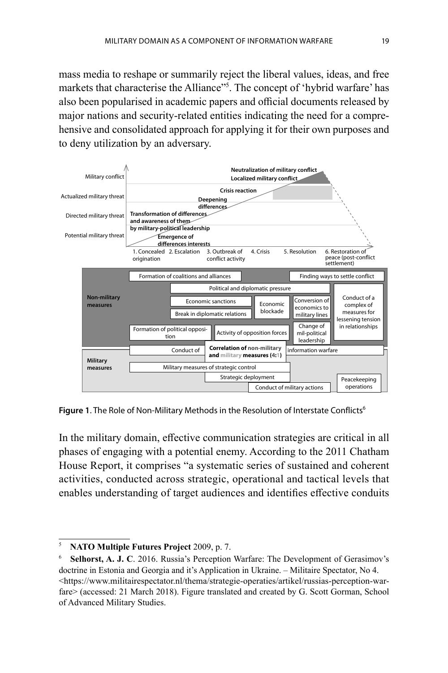mass media to reshape or summarily reject the liberal values, ideas, and free markets that characterise the Alliance"<sup>5</sup>. The concept of 'hybrid warfare' has also been popularised in academic papers and official documents released by major nations and security-related entities indicating the need for a comprehensive and consolidated approach for applying it for their own purposes and to deny utilization by an adversary.



**Figure 1.** The Role of Non-Military Methods in the Resolution of Interstate Conflicts<sup>6</sup>

In the military domain, effective communication strategies are critical in all phases of engaging with a potential enemy. According to the 2011 Chatham House Report, it comprises "a systematic series of sustained and coherent activities, conducted across strategic, operational and tactical levels that enables understanding of target audiences and identifies effective conduits

<sup>5</sup>**NATO Multiple Futures Project** 2009, p. 7.

<sup>6</sup>**Selhorst, A. J. C**. 2016. Russia's Perception Warfare: The Development of Gerasimov's doctrine in Estonia and Georgia and it's Application in Ukraine. – Militaire Spectator, No 4. <https://www.militairespectator.nl/thema/strategie-operaties/artikel/russias-perception-warfare> (accessed: 21 March 2018). Figure translated and created by G. Scott Gorman, School of Advanced Military Studies.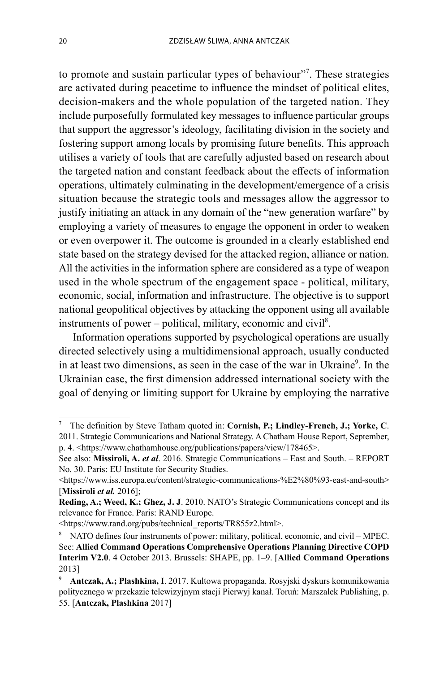to promote and sustain particular types of behaviour"<sup>7</sup>. These strategies are activated during peacetime to influence the mindset of political elites, decision-makers and the whole population of the targeted nation. They include purposefully formulated key messages to influence particular groups that support the aggressor's ideology, facilitating division in the society and fostering support among locals by promising future benefits. This approach utilises a variety of tools that are carefully adjusted based on research about the targeted nation and constant feedback about the effects of information operations, ultimately culminating in the development/emergence of a crisis situation because the strategic tools and messages allow the aggressor to justify initiating an attack in any domain of the "new generation warfare" by employing a variety of measures to engage the opponent in order to weaken or even overpower it. The outcome is grounded in a clearly established end state based on the strategy devised for the attacked region, alliance or nation. All the activities in the information sphere are considered as a type of weapon used in the whole spectrum of the engagement space - political, military, economic, social, information and infrastructure. The objective is to support national geopolitical objectives by attacking the opponent using all available instruments of power  $-$  political, military, economic and civil<sup>8</sup>.

Information operations supported by psychological operations are usually directed selectively using a multidimensional approach, usually conducted in at least two dimensions, as seen in the case of the war in Ukraine<sup>9</sup>. In the Ukrainian case, the first dimension addressed international society with the goal of denying or limiting support for Ukraine by employing the narrative

<sup>7</sup> The definition by Steve Tatham quoted in: **Cornish, P.; Lindley-French, J.; Yorke, C**. 2011. Strategic Communications and National Strategy. A Chatham House Report, September, p. 4. <https://www.chathamhouse.org/publications/papers/view/178465>.

See also: **Missiroli, A.** *et al*. 2016. Strategic Communications – East and South. – REPORT No. 30. Paris: EU Institute for Security Studies.

<sup>&</sup>lt;https://www.iss.europa.eu/content/strategic-communications-%E2%80%93-east-and-south> [**Missiroli** *et al.* 2016];

**Reding, A.; Weed, K.; Ghez, J. J**. 2010. NATO's Strategic Communications concept and its relevance for France. Paris: RAND Europe.

<sup>&</sup>lt;https://www.rand.org/pubs/technical\_reports/TR855z2.html>.

<sup>&</sup>lt;sup>8</sup> NATO defines four instruments of power: military, political, economic, and civil – MPEC. See: **Allied Command Operations Comprehensive Operations Planning Directive COPD Interim V2.0**. 4 October 2013. Brussels: SHAPE, pp. 1–9. [**Allied Command Operations** 2013]

<sup>9</sup>**Antczak, A.; Plashkina, I**. 2017. Kultowa propaganda. Rosyjski dyskurs komunikowania politycznego w przekazie telewizyjnym stacji Pierwyj kanał. Toruń: Marszalek Publishing, p. 55. [**Antczak, Plashkina** 2017]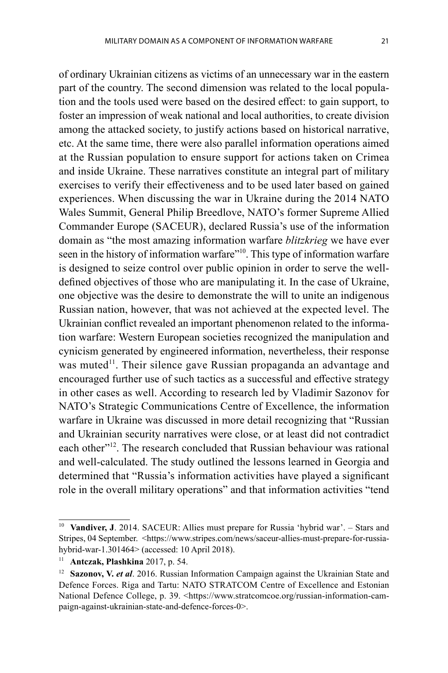of ordinary Ukrainian citizens as victims of an unnecessary war in the eastern part of the country. The second dimension was related to the local population and the tools used were based on the desired effect: to gain support, to foster an impression of weak national and local authorities, to create division among the attacked society, to justify actions based on historical narrative, etc. At the same time, there were also parallel information operations aimed at the Russian population to ensure support for actions taken on Crimea and inside Ukraine. These narratives constitute an integral part of military exercises to verify their effectiveness and to be used later based on gained experiences. When discussing the war in Ukraine during the 2014 NATO Wales Summit, General Philip Breedlove, NATO's former Supreme Allied Commander Europe (SACEUR), declared Russia's use of the information domain as "the most amazing information warfare *blitzkrieg* we have ever seen in the history of information warfare"<sup>10</sup>. This type of information warfare is designed to seize control over public opinion in order to serve the welldefined objectives of those who are manipulating it. In the case of Ukraine, one objective was the desire to demonstrate the will to unite an indigenous Russian nation, however, that was not achieved at the expected level. The Ukrainian conflict revealed an important phenomenon related to the information warfare: Western European societies recognized the manipulation and cynicism generated by engineered information, nevertheless, their response was muted<sup>11</sup>. Their silence gave Russian propaganda an advantage and encouraged further use of such tactics as a successful and effective strategy in other cases as well. According to research led by Vladimir Sazonov for NATO's Strategic Communications Centre of Excellence, the information warfare in Ukraine was discussed in more detail recognizing that "Russian and Ukrainian security narratives were close, or at least did not contradict each other<sup>"12</sup>. The research concluded that Russian behaviour was rational and well-calculated. The study outlined the lessons learned in Georgia and determined that "Russia's information activities have played a significant role in the overall military operations" and that information activities "tend

<sup>10</sup>**Vandiver, J**. 2014. SACEUR: Allies must prepare for Russia 'hybrid war'. *–* Stars and Stripes, 04 September. <https://www.stripes.com/news/saceur-allies-must-prepare-for-russiahybrid-war-1.301464> (accessed: 10 April 2018).

<sup>11</sup>**Antczak, Plashkina** 2017, p. 54.

<sup>&</sup>lt;sup>12</sup> Sazonov, V. et al. 2016. Russian Information Campaign against the Ukrainian State and Defence Forces. Riga and Tartu: NATO STRATCOM Centre of Excellence and Estonian National Defence College, p. 39. <https://www.stratcomcoe.org/russian-information-campaign-against-ukrainian-state-and-defence-forces-0>.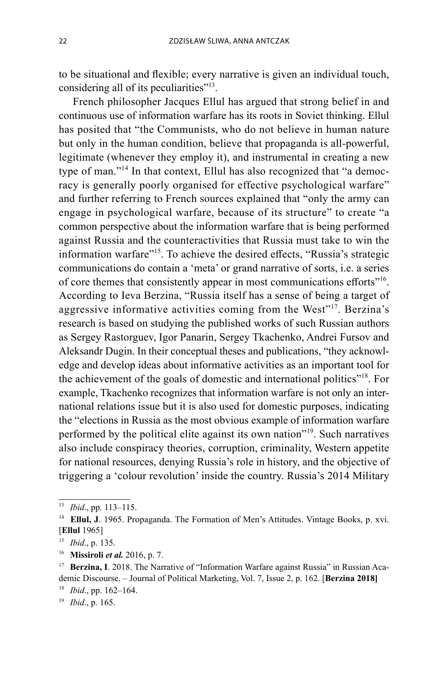to be situational and flexible; every narrative is given an individual touch, considering all of its peculiarities<sup>"13</sup>.

French philosopher Jacques Ellul has argued that strong belief in and continuous use of information warfare has its roots in Soviet thinking. Ellul has posited that "the Communists, who do not believe in human nature but only in the human condition, believe that propaganda is all-powerful, legitimate (whenever they employ it), and instrumental in creating a new type of man."14 In that context, Ellul has also recognized that "a democracy is generally poorly organised for effective psychological warfare" and further referring to French sources explained that "only the army can engage in psychological warfare, because of its structure" to create "a common perspective about the information warfare that is being performed against Russia and the counteractivities that Russia must take to win the information warfare"<sup>15</sup>. To achieve the desired effects, "Russia's strategic communications do contain a 'meta' or grand narrative of sorts, i.e. a series of core themes that consistently appear in most communications efforts<sup>"16</sup>. According to Ieva Berzina, "Russia itself has a sense of being a target of aggressive informative activities coming from the West"<sup>17</sup>. Berzina's research is based on studying the published works of such Russian authors as Sergey Rastorguev, Igor Panarin, Sergey Tkachenko, Andrei Fursov and Aleksandr Dugin. In their conceptual theses and publications, "they acknowledge and develop ideas about informative activities as an important tool for the achievement of the goals of domestic and international politics"18. For example, Tkachenko recognizes that information warfare is not only an international relations issue but it is also used for domestic purposes, indicating the "elections in Russia as the most obvious example of information warfare performed by the political elite against its own nation"19. Such narratives also include conspiracy theories, corruption, criminality, Western appetite for national resources, denying Russia's role in history, and the objective of triggering a 'colour revolution' inside the country. Russia's 2014 Military

<sup>&</sup>lt;sup>13</sup> *Ibid.*, pp. 113–115.<br><sup>14</sup> **Ellul, J**. 1965. Propaganda. The Formation of Men's Attitudes. Vintage Books, p. xvi. [**Ellul** 1965]

<sup>15</sup>*Ibid*., p. 135.

<sup>16</sup>**Missiroli** *et al.* 2016, p. 7.

<sup>&</sup>lt;sup>17</sup> **Berzina, I**. 2018. The Narrative of "Information Warfare against Russia" in Russian Academic Discourse. – Journal of Political Marketing, Vol. 7, Issue 2, p. 162. [**Berzina 2018]**

<sup>18</sup>*Ibid*., pp. 162–164.

<sup>19</sup> *Ibid*., p. 165.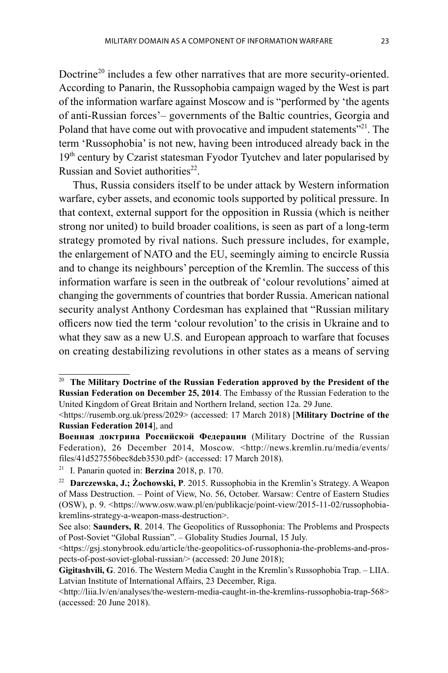Doctrine<sup>20</sup> includes a few other narratives that are more security-oriented. According to Panarin, the Russophobia campaign waged by the West is part of the information warfare against Moscow and is "performed by 'the agents of anti-Russian forces'– governments of the Baltic countries, Georgia and Poland that have come out with provocative and impudent statements<sup>"21</sup>. The term 'Russophobia' is not new, having been introduced already back in the 19<sup>th</sup> century by Czarist statesman Fyodor Tyutchev and later popularised by Russian and Soviet authorities $^{22}$ .

Thus, Russia considers itself to be under attack by Western information warfare, cyber assets, and economic tools supported by political pressure. In that context, external support for the opposition in Russia (which is neither strong nor united) to build broader coalitions, is seen as part of a long-term strategy promoted by rival nations. Such pressure includes, for example, the enlargement of NATO and the EU, seemingly aiming to encircle Russia and to change its neighbours' perception of the Kremlin. The success of this information warfare is seen in the outbreak of 'colour revolutions' aimed at changing the governments of countries that border Russia. American national security analyst Anthony Cordesman has explained that "Russian military offi cers now tied the term 'colour revolution' to the crisis in Ukraine and to what they saw as a new U.S. and European approach to warfare that focuses on creating destabilizing revolutions in other states as a means of serving

<sup>20</sup>**The Military Doctrine of the Russian Federation approved by the President of the Russian Federation on December 25, 2014**. The Embassy of the Russian Federation to the United Kingdom of Great Britain and Northern Ireland, section 12a. 29 June.

<sup>&</sup>lt;https://rusemb.org.uk/press/2029> (accessed: 17 March 2018) [**Military Doctrine of the Russian Federation 2014**], and

**Военная доктрина Российской Федерации** (Military Doctrine of the Russian Federation), 26 December 2014, Moscow. <http://news.kremlin.ru/media/events/ files/41d527556bec8deb3530.pdf> (accessed: 17 March 2018).

<sup>21</sup> I. Panarin quoted in: **Berzina** 2018, p. 170.

<sup>22</sup>**Darczewska, J.; Żochowski, P**. 2015. Russophobia in the Kremlin's Strategy. A Weapon of Mass Destruction. – Point of View, No. 56, October. Warsaw: Centre of Eastern Studies (OSW), p. 9. <https://www.osw.waw.pl/en/publikacje/point-view/2015-11-02/russophobiakremlins-strategy-a-weapon-mass-destruction>.

See also: **Saunders, R**. 2014. The Geopolitics of Russophonia: The Problems and Prospects of Post-Soviet "Global Russian". – Globality Studies Journal, 15 July.

<sup>&</sup>lt;https://gsj.stonybrook.edu/article/the-geopolitics-of-russophonia-the-problems-and-prospects-of-post-soviet-global-russian/> (accessed: 20 June 2018);

**Gigitashvili, G**. 2016. The Western Media Caught in the Kremlin's Russophobia Trap. – LIIA. Latvian Institute of International Affairs, 23 December, Riga.

<sup>&</sup>lt;http://liia.lv/en/analyses/the-western-media-caught-in-the-kremlins-russophobia-trap-568> (accessed: 20 June 2018).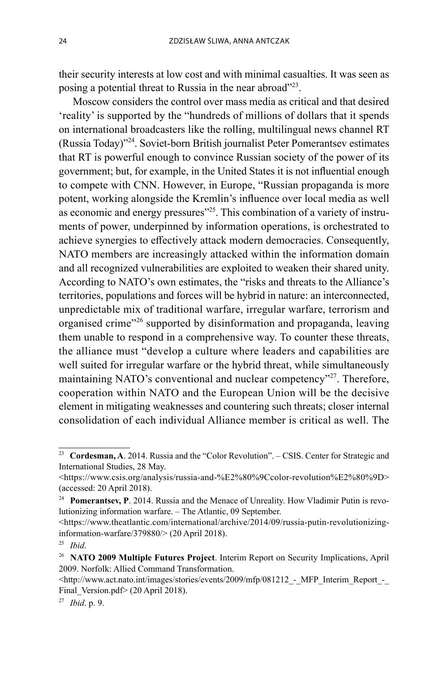their security interests at low cost and with minimal casualties. It was seen as posing a potential threat to Russia in the near abroad"<sup>23</sup>.

Moscow considers the control over mass media as critical and that desired 'reality' is supported by the "hundreds of millions of dollars that it spends on international broadcasters like the rolling, multilingual news channel RT (Russia Today)"24. Soviet-born British journalist Peter Pomerantsev estimates that RT is powerful enough to convince Russian society of the power of its government; but, for example, in the United States it is not influential enough to compete with CNN. However, in Europe, "Russian propaganda is more potent, working alongside the Kremlin's influence over local media as well as economic and energy pressures"<sup>25</sup>. This combination of a variety of instruments of power, underpinned by information operations, is orchestrated to achieve synergies to effectively attack modern democracies. Consequently, NATO members are increasingly attacked within the information domain and all recognized vulnerabilities are exploited to weaken their shared unity. According to NATO's own estimates, the "risks and threats to the Alliance's territories, populations and forces will be hybrid in nature: an interconnected, unpredictable mix of traditional warfare, irregular warfare, terrorism and organised crime"<sup>26</sup> supported by disinformation and propaganda, leaving them unable to respond in a comprehensive way. To counter these threats, the alliance must "develop a culture where leaders and capabilities are well suited for irregular warfare or the hybrid threat, while simultaneously maintaining NATO's conventional and nuclear competency"<sup>27</sup>. Therefore, cooperation within NATO and the European Union will be the decisive element in mitigating weaknesses and countering such threats; closer internal consolidation of each individual Alliance member is critical as well. The

<sup>23</sup>**Cordesman, A**. 2014. Russia and the "Color Revolution". – CSIS. Center for Strategic and International Studies, 28 May.

<sup>&</sup>lt;https://www.csis.org/analysis/russia-and-%E2%80%9Ccolor-revolution%E2%80%9D> (accessed: 20 April 2018).

<sup>&</sup>lt;sup>24</sup> Pomerantsev, P. 2014. Russia and the Menace of Unreality. How Vladimir Putin is revolutionizing information warfare. – The Atlantic, 09 September.

<sup>&</sup>lt;https://www.theatlantic.com/international/archive/2014/09/russia-putin-revolutionizinginformation-warfare/379880/> (20 April 2018).

<sup>25</sup>*Ibid*.

<sup>26</sup>**NATO 2009 Multiple Futures Project**. Interim Report on Security Implications, April 2009. Norfolk: Allied Command Transformation.

 $\leq$ http://www.act.nato.int/images/stories/events/2009/mfp/081212 - MFP Interim Report -Final Version.pdf> (20 April 2018).

<sup>27</sup> *Ibid*. p. 9.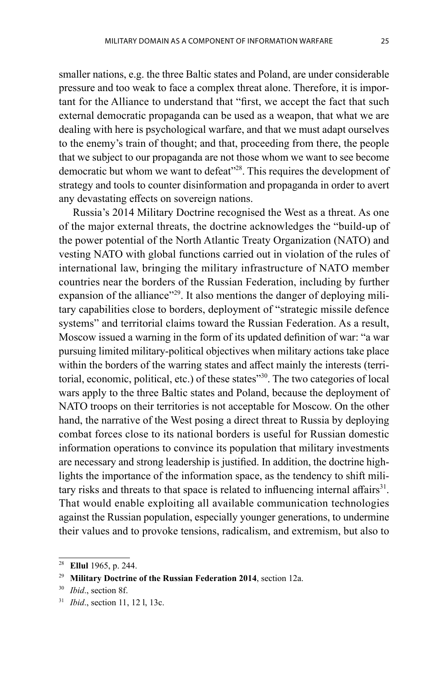smaller nations, e.g. the three Baltic states and Poland, are under considerable pressure and too weak to face a complex threat alone. Therefore, it is important for the Alliance to understand that "first, we accept the fact that such external democratic propaganda can be used as a weapon, that what we are dealing with here is psychological warfare, and that we must adapt ourselves to the enemy's train of thought; and that, proceeding from there, the people that we subject to our propaganda are not those whom we want to see become democratic but whom we want to defeat"<sup>28</sup>. This requires the development of strategy and tools to counter disinformation and propaganda in order to avert any devastating effects on sovereign nations.

Russia's 2014 Military Doctrine recognised the West as a threat. As one of the major external threats, the doctrine acknowledges the "build-up of the power potential of the North Atlantic Treaty Organization (NATO) and vesting NATO with global functions carried out in violation of the rules of international law, bringing the military infrastructure of NATO member countries near the borders of the Russian Federation, including by further expansion of the alliance"<sup>29</sup>. It also mentions the danger of deploying military capabilities close to borders, deployment of "strategic missile defence systems" and territorial claims toward the Russian Federation. As a result, Moscow issued a warning in the form of its updated definition of war: "a war pursuing limited military-political objectives when military actions take place within the borders of the warring states and affect mainly the interests (territorial, economic, political, etc.) of these states"<sup>30</sup>. The two categories of local wars apply to the three Baltic states and Poland, because the deployment of NATO troops on their territories is not acceptable for Moscow. On the other hand, the narrative of the West posing a direct threat to Russia by deploying combat forces close to its national borders is useful for Russian domestic information operations to convince its population that military investments are necessary and strong leadership is justified. In addition, the doctrine highlights the importance of the information space, as the tendency to shift military risks and threats to that space is related to influencing internal affairs<sup>31</sup>. That would enable exploiting all available communication technologies against the Russian population, especially younger generations, to undermine their values and to provoke tensions, radicalism, and extremism, but also to

<sup>28</sup>**Ellul** 1965, p. 244.

<sup>&</sup>lt;sup>29</sup> Military Doctrine of the Russian Federation 2014, section 12a.<br><sup>30</sup> *Ibid.*, section 8f.

<sup>31</sup> *Ibid*., section 11, 12 l, 13c.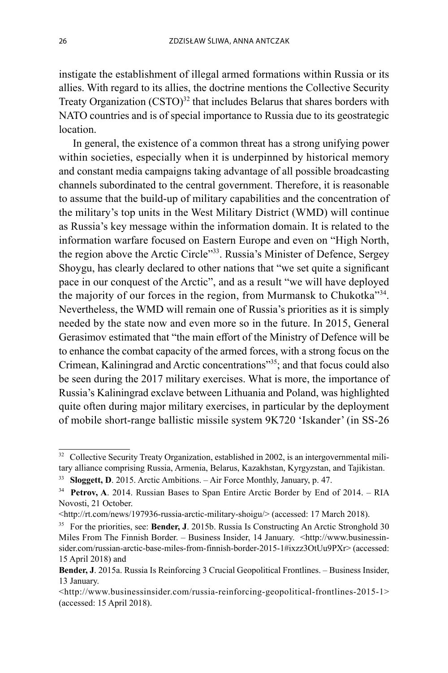instigate the establishment of illegal armed formations within Russia or its allies. With regard to its allies, the doctrine mentions the Collective Security Treaty Organization  $(CSTO)^{32}$  that includes Belarus that shares borders with NATO countries and is of special importance to Russia due to its geostrategic location.

In general, the existence of a common threat has a strong unifying power within societies, especially when it is underpinned by historical memory and constant media campaigns taking advantage of all possible broadcasting channels subordinated to the central government. Therefore, it is reasonable to assume that the build-up of military capabilities and the concentration of the military's top units in the West Military District (WMD) will continue as Russia's key message within the information domain. It is related to the information warfare focused on Eastern Europe and even on "High North, the region above the Arctic Circle"<sup>33</sup>. Russia's Minister of Defence, Sergey Shoygu, has clearly declared to other nations that "we set quite a significant pace in our conquest of the Arctic", and as a result "we will have deployed the majority of our forces in the region, from Murmansk to Chukotka<sup>334</sup>. Nevertheless, the WMD will remain one of Russia's priorities as it is simply needed by the state now and even more so in the future. In 2015, General Gerasimov estimated that "the main effort of the Ministry of Defence will be to enhance the combat capacity of the armed forces, with a strong focus on the Crimean, Kaliningrad and Arctic concentrations"<sup>35</sup>; and that focus could also be seen during the 2017 military exercises. What is more, the importance of Russia's Kaliningrad exclave between Lithuania and Poland, was highlighted quite often during major military exercises, in particular by the deployment of mobile short-range ballistic missile system 9K720 'Iskander' (in SS-26

<sup>&</sup>lt;sup>32</sup> Collective Security Treaty Organization, established in 2002, is an intergovernmental military alliance comprising Russia, Armenia, Belarus, Kazakhstan, Kyrgyzstan, and Tajikistan.

<sup>33</sup>**Sloggett, D**. 2015. Arctic Ambitions. – Air Force Monthly, January, p. 47.

<sup>&</sup>lt;sup>34</sup> Petrov, A. 2014. Russian Bases to Span Entire Arctic Border by End of 2014. – RIA Novosti, 21 October.

<sup>&</sup>lt;http://rt.com/news/197936-russia-arctic-military-shoigu/> (accessed: 17 March 2018).

<sup>35</sup> For the priorities, see: **Bender, J**. 2015b. Russia Is Constructing An Arctic Stronghold 30 Miles From The Finnish Border. – Business Insider, 14 January. <http://www.businessinsider.com/russian-arctic-base-miles-from-finnish-border-2015-1#ixzz3OtUu9PXr> (accessed: 15 April 2018) and

**Bender, J**. 2015a. Russia Is Reinforcing 3 Crucial Geopolitical Frontlines. – Business Insider, 13 January.

<sup>&</sup>lt;http://www.businessinsider.com/russia-reinforcing-geopolitical-frontlines-2015-1> (accessed: 15 April 2018).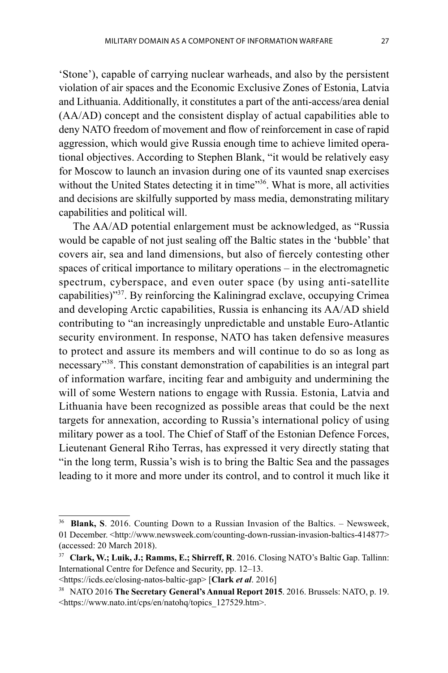'Stone'), capable of carrying nuclear warheads, and also by the persistent violation of air spaces and the Economic Exclusive Zones of Estonia, Latvia and Lithuania. Additionally, it constitutes a part of the anti-access/area denial (AA/AD) concept and the consistent display of actual capabilities able to deny NATO freedom of movement and flow of reinforcement in case of rapid aggression, which would give Russia enough time to achieve limited operational objectives. According to Stephen Blank, "it would be relatively easy for Moscow to launch an invasion during one of its vaunted snap exercises without the United States detecting it in time"<sup>36</sup>. What is more, all activities and decisions are skilfully supported by mass media, demonstrating military capabilities and political will.

The AA/AD potential enlargement must be acknowledged, as "Russia would be capable of not just sealing off the Baltic states in the 'bubble' that covers air, sea and land dimensions, but also of fiercely contesting other spaces of critical importance to military operations  $-$  in the electromagnetic spectrum, cyberspace, and even outer space (by using anti-satellite capabilities)"37. By reinforcing the Kaliningrad exclave, occupying Crimea and developing Arctic capabilities, Russia is enhancing its AA/AD shield contributing to "an increasingly unpredictable and unstable Euro-Atlantic security environment. In response, NATO has taken defensive measures to protect and assure its members and will continue to do so as long as necessary"38. This constant demonstration of capabilities is an integral part of information warfare, inciting fear and ambiguity and undermining the will of some Western nations to engage with Russia. Estonia, Latvia and Lithuania have been recognized as possible areas that could be the next targets for annexation, according to Russia's international policy of using military power as a tool. The Chief of Staff of the Estonian Defence Forces, Lieutenant General Riho Terras, has expressed it very directly stating that "in the long term, Russia's wish is to bring the Baltic Sea and the passages leading to it more and more under its control, and to control it much like it

**Blank, S.** 2016. Counting Down to a Russian Invasion of the Baltics. – Newsweek, 01 December. <http://www.newsweek.com/counting-down-russian-invasion-baltics-414877> (accessed: 20 March 2018).

<sup>37</sup>**Clark, W.; Luik, J.; Ramms, E.; Shirreff, R**. 2016. Closing NATO's Baltic Gap. Tallinn: International Centre for Defence and Security, pp. 12–13.

<sup>&</sup>lt;https://icds.ee/closing-natos-baltic-gap> [**Clark** *et al*. 2016]

<sup>38</sup> NATO 2016 **The Secretary General's Annual Report 2015**. 2016. Brussels: NATO, p. 19. <https://www.nato.int/cps/en/natohq/topics\_127529.htm>.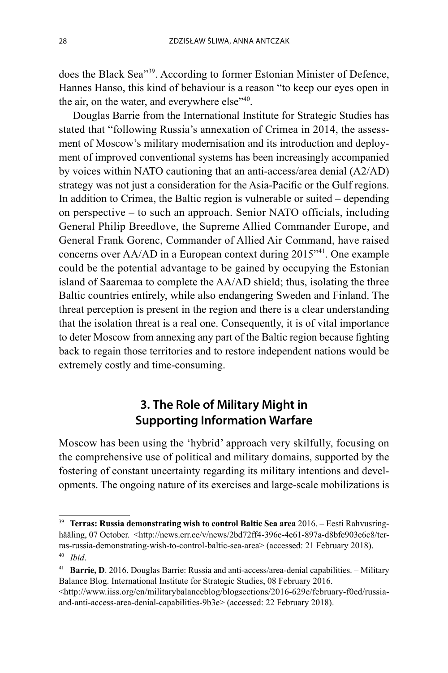does the Black Sea"39. According to former Estonian Minister of Defence, Hannes Hanso, this kind of behaviour is a reason "to keep our eyes open in the air, on the water, and everywhere else<sup>"40</sup>.

Douglas Barrie from the International Institute for Strategic Studies has stated that "following Russia's annexation of Crimea in 2014, the assessment of Moscow's military modernisation and its introduction and deployment of improved conventional systems has been increasingly accompanied by voices within NATO cautioning that an anti-access/area denial (A2/AD) strategy was not just a consideration for the Asia-Pacific or the Gulf regions. In addition to Crimea, the Baltic region is vulnerable or suited – depending on perspective – to such an approach. Senior NATO officials, including General Philip Breedlove, the Supreme Allied Commander Europe, and General Frank Gorenc, Commander of Allied Air Command, have raised concerns over AA/AD in a European context during 2015"41. One example could be the potential advantage to be gained by occupying the Estonian island of Saaremaa to complete the AA/AD shield; thus, isolating the three Baltic countries entirely, while also endangering Sweden and Finland. The threat perception is present in the region and there is a clear understanding that the isolation threat is a real one. Consequently, it is of vital importance to deter Moscow from annexing any part of the Baltic region because fighting back to regain those territories and to restore independent nations would be extremely costly and time-consuming.

## **3. The Role of Military Might in Supporting Information Warfare**

Moscow has been using the 'hybrid' approach very skilfully, focusing on the comprehensive use of political and military domains, supported by the fostering of constant uncertainty regarding its military intentions and developments. The ongoing nature of its exercises and large-scale mobilizations is

<sup>39</sup> **Terras: Russia demonstrating wish to control Baltic Sea area** 2016. – Eesti Rahvusringhääling, 07 October. <http://news.err.ee/v/news/2bd72ff4-396e-4e61-897a-d8bfe903e6c8/terras-russia-demonstrating-wish-to-control-baltic-sea-area> (accessed: 21 February 2018). <sup>40</sup>*Ibid*.

<sup>&</sup>lt;sup>41</sup> Barrie, D. 2016. Douglas Barrie: Russia and anti-access/area-denial capabilities. - Military Balance Blog. International Institute for Strategic Studies, 08 February 2016.

<sup>&</sup>lt;http://www.iiss.org/en/militarybalanceblog/blogsections/2016-629e/february-f0ed/russiaand-anti-access-area-denial-capabilities-9b3e> (accessed: 22 February 2018).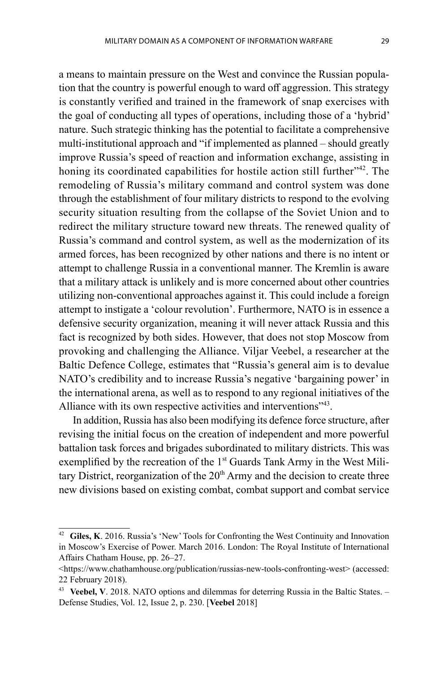a means to maintain pressure on the West and convince the Russian population that the country is powerful enough to ward off aggression. This strategy is constantly verified and trained in the framework of snap exercises with the goal of conducting all types of operations, including those of a 'hybrid' nature. Such strategic thinking has the potential to facilitate a comprehensive multi-institutional approach and "if implemented as planned – should greatly improve Russia's speed of reaction and information exchange, assisting in honing its coordinated capabilities for hostile action still further<sup>342</sup>. The remodeling of Russia's military command and control system was done through the establishment of four military districts to respond to the evolving security situation resulting from the collapse of the Soviet Union and to

redirect the military structure toward new threats. The renewed quality of Russia's command and control system, as well as the modernization of its armed forces, has been recognized by other nations and there is no intent or attempt to challenge Russia in a conventional manner. The Kremlin is aware that a military attack is unlikely and is more concerned about other countries utilizing non-conventional approaches against it. This could include a foreign attempt to instigate a 'colour revolution'. Furthermore, NATO is in essence a defensive security organization, meaning it will never attack Russia and this fact is recognized by both sides. However, that does not stop Moscow from provoking and challenging the Alliance. Viljar Veebel, a researcher at the Baltic Defence College, estimates that "Russia's general aim is to devalue NATO's credibility and to increase Russia's negative 'bargaining power' in the international arena, as well as to respond to any regional initiatives of the Alliance with its own respective activities and interventions<sup>743</sup>.

In addition, Russia has also been modifying its defence force structure, after revising the initial focus on the creation of independent and more powerful battalion task forces and brigades subordinated to military districts. This was exemplified by the recreation of the 1<sup>st</sup> Guards Tank Army in the West Military District, reorganization of the  $20<sup>th</sup>$  Army and the decision to create three new divisions based on existing combat, combat support and combat service

<sup>42</sup>**Giles, K**. 2016. Russia's 'New' Tools for Confronting the West Continuity and Innovation in Moscow's Exercise of Power. March 2016. London: The Royal Institute of International Affairs Chatham House, pp. 26–27.

<sup>&</sup>lt;https://www.chathamhouse.org/publication/russias-new-tools-confronting-west> (accessed: 22 February 2018).

<sup>43</sup>**Veebel, V**. 2018. NATO options and dilemmas for deterring Russia in the Baltic States. – Defense Studies, Vol. 12, Issue 2, p. 230. [**Veebel** 2018]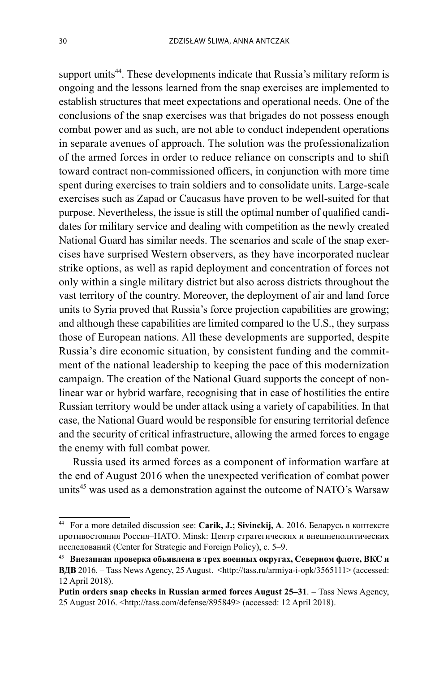support units<sup>44</sup>. These developments indicate that Russia's military reform is ongoing and the lessons learned from the snap exercises are implemented to establish structures that meet expectations and operational needs. One of the conclusions of the snap exercises was that brigades do not possess enough combat power and as such, are not able to conduct independent operations in separate avenues of approach. The solution was the professionalization of the armed forces in order to reduce reliance on conscripts and to shift toward contract non-commissioned officers, in conjunction with more time spent during exercises to train soldiers and to consolidate units. Large-scale exercises such as Zapad or Caucasus have proven to be well-suited for that purpose. Nevertheless, the issue is still the optimal number of qualified candidates for military service and dealing with competition as the newly created National Guard has similar needs. The scenarios and scale of the snap exercises have surprised Western observers, as they have incorporated nuclear strike options, as well as rapid deployment and concentration of forces not only within a single military district but also across districts throughout the vast territory of the country. Moreover, the deployment of air and land force units to Syria proved that Russia's force projection capabilities are growing; and although these capabilities are limited compared to the U.S., they surpass those of European nations. All these developments are supported, despite Russia's dire economic situation, by consistent funding and the commitment of the national leadership to keeping the pace of this modernization campaign. The creation of the National Guard supports the concept of nonlinear war or hybrid warfare, recognising that in case of hostilities the entire Russian territory would be under attack using a variety of capabilities. In that case, the National Guard would be responsible for ensuring territorial defence and the security of critical infrastructure, allowing the armed forces to engage the enemy with full combat power.

Russia used its armed forces as a component of information warfare at the end of August 2016 when the unexpected verification of combat power units<sup>45</sup> was used as a demonstration against the outcome of NATO's Warsaw

<sup>44</sup> For a more detailed discussion see: **Carik, J.; Sivinckij, A**. 2016. Беларусь в контексте противостояния Россия–НАТО. Minsk: Центр стратегических и внешнеполитических исследований (Center for Strategic and Foreign Policy), c. 5–9.

<sup>45</sup>**Внезапная проверка объявлена в трех военных округах, Северном флоте, ВКС и B** $\text{BB}$  2016. – Tass News Agency, 25 August.  $\text{http://tass.ru/armiya-i-opk/3565111>(accessed: 10000)$ 12 April 2018).

**Putin orders snap checks in Russian armed forces August 25–31**. – Tass News Agency, 25 August 2016. <http://tass.com/defense/895849> (accessed: 12 April 2018).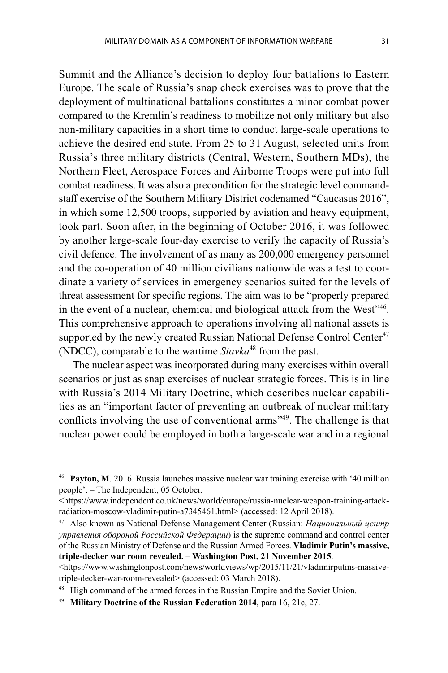Summit and the Alliance's decision to deploy four battalions to Eastern Europe. The scale of Russia's snap check exercises was to prove that the deployment of multinational battalions constitutes a minor combat power compared to the Kremlin's readiness to mobilize not only military but also non-military capacities in a short time to conduct large-scale operations to achieve the desired end state. From 25 to 31 August, selected units from Russia's three military districts (Central, Western, Southern MDs), the Northern Fleet, Aerospace Forces and Airborne Troops were put into full combat readiness. It was also a precondition for the strategic level commandstaff exercise of the Southern Military District codenamed "Caucasus 2016", in which some 12,500 troops, supported by aviation and heavy equipment, took part. Soon after, in the beginning of October 2016, it was followed by another large-scale four-day exercise to verify the capacity of Russia's civil defence. The involvement of as many as 200,000 emergency personnel and the co- operation of 40 million civilians nationwide was a test to coordinate a variety of services in emergency scenarios suited for the levels of threat assessment for specific regions. The aim was to be "properly prepared in the event of a nuclear, chemical and biological attack from the West<sup>746</sup>. This comprehensive approach to operations involving all national assets is supported by the newly created Russian National Defense Control Center<sup>47</sup> (NDCC), comparable to the wartime *Stavka*48 from the past.

The nuclear aspect was incorporated during many exercises within overall scenarios or just as snap exercises of nuclear strategic forces. This is in line with Russia's 2014 Military Doctrine, which describes nuclear capabilities as an "important factor of preventing an outbreak of nuclear military conflicts involving the use of conventional arms"<sup>49</sup>. The challenge is that nuclear power could be employed in both a large-scale war and in a regional

<sup>46</sup>**Payton, M**. 2016. Russia launches massive nuclear war training exercise with '40 million people'. – The Independent, 05 October.

<sup>&</sup>lt;https://www.independent.co.uk/news/world/europe/russia-nuclear-weapon-training-attackradiation-moscow-vladimir-putin-a7345461.html> (accessed: 12 April 2018).

<sup>47</sup> Also known as National Defense Management Center (Russian: *Национальный центр управления обороной Российской Федерации*) is the supreme command and control center of the Russian Ministry of Defense and the Russian Armed Forces. **Vladimir Putin's massive, triple-decker war room revealed. – Washington Post, 21 November 2015**.

 $\langle \text{https://www.washingtonpost.com/news/worldviews/wp/2015/11/21/vladimirputins-massive-} \rangle$ triple-decker-war-room-revealed> (accessed: 03 March 2018).

High command of the armed forces in the Russian Empire and the Soviet Union.

<sup>49</sup> **Military Doctrine of the Russian Federation 2014**, para 16, 21c, 27.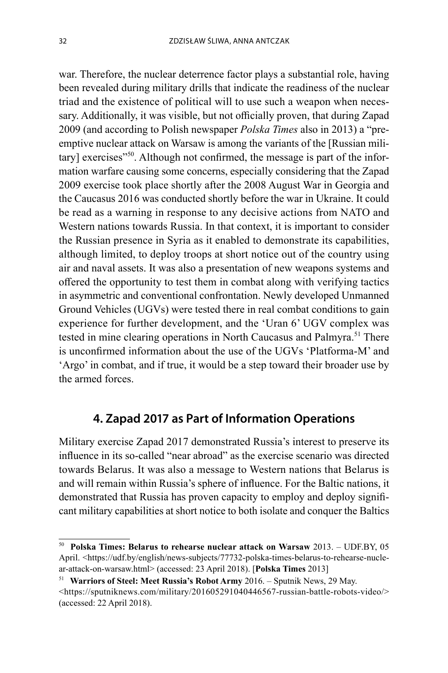war. Therefore, the nuclear deterrence factor plays a substantial role, having been revealed during military drills that indicate the readiness of the nuclear triad and the existence of political will to use such a weapon when necessary. Additionally, it was visible, but not officially proven, that during Zapad 2009 (and according to Polish newspaper *Polska Times* also in 2013) a "preemptive nuclear attack on Warsaw is among the variants of the [Russian military] exercises $"50$ . Although not confirmed, the message is part of the information warfare causing some concerns, especially considering that the Zapad 2009 exercise took place shortly after the 2008 August War in Georgia and the Caucasus 2016 was conducted shortly before the war in Ukraine. It could be read as a warning in response to any decisive actions from NATO and Western nations towards Russia. In that context, it is important to consider the Russian presence in Syria as it enabled to demonstrate its capabilities, although limited, to deploy troops at short notice out of the country using air and naval assets. It was also a presentation of new weapons systems and offered the opportunity to test them in combat along with verifying tactics in asymmetric and conventional confrontation. Newly developed Unmanned Ground Vehicles (UGVs) were tested there in real combat conditions to gain experience for further development, and the 'Uran 6' UGV complex was tested in mine clearing operations in North Caucasus and Palmyra.<sup>51</sup> There is unconfirmed information about the use of the UGVs 'Platforma-M' and 'Argo' in combat, and if true, it would be a step toward their broader use by the armed forces.

## **4. Zapad 2017 as Part of Information Operations**

Military exercise Zapad 2017 demonstrated Russia's interest to preserve its influence in its so-called "near abroad" as the exercise scenario was directed towards Belarus. It was also a message to Western nations that Belarus is and will remain within Russia's sphere of influence. For the Baltic nations, it demonstrated that Russia has proven capacity to employ and deploy significant military capabilities at short notice to both isolate and conquer the Baltics

<sup>50</sup>**Polska Times: Belarus to rehearse nuclear attack on Warsaw** 2013. – UDF.BY, 05 April. <https://udf.by/english/news-subjects/77732-polska-times-belarus-to-rehearse-nuclear-attack-on-warsaw.html> (accessed: 23 April 2018). [**Polska Times** 2013]

<sup>51</sup>**Warriors of Steel: Meet Russia's Robot Army** 2016. – Sputnik News, 29 May.

<sup>&</sup>lt;https://sputniknews.com/military/201605291040446567-russian-battle-robots-video/> (accessed: 22 April 2018).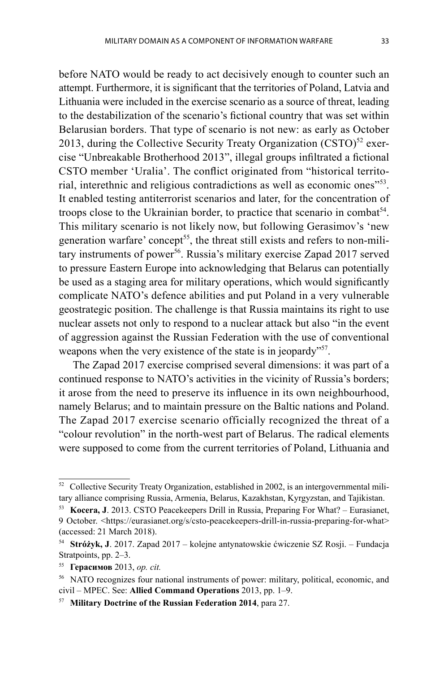before NATO would be ready to act decisively enough to counter such an attempt. Furthermore, it is significant that the territories of Poland, Latvia and Lithuania were included in the exercise scenario as a source of threat, leading to the destabilization of the scenario's fictional country that was set within Belarusian borders. That type of scenario is not new: as early as October 2013, during the Collective Security Treaty Organization  $(CSTO)^{52}$  exercise "Unbreakable Brotherhood 2013", illegal groups infiltrated a fictional CSTO member 'Uralia'. The conflict originated from "historical territorial, interethnic and religious contradictions as well as economic ones<sup>"53</sup>. It enabled testing antiterrorist scenarios and later, for the concentration of troops close to the Ukrainian border, to practice that scenario in combat<sup>54</sup>. This military scenario is not likely now, but following Gerasimov's 'new generation warfare' concept<sup>55</sup>, the threat still exists and refers to non-military instruments of power<sup>56</sup>. Russia's military exercise Zapad 2017 served to pressure Eastern Europe into acknowledging that Belarus can potentially be used as a staging area for military operations, which would significantly complicate NATO's defence abilities and put Poland in a very vulnerable geostrategic position. The challenge is that Russia maintains its right to use nuclear assets not only to respond to a nuclear attack but also "in the event of aggression against the Russian Federation with the use of conventional weapons when the very existence of the state is in jeopardy"<sup>57</sup>.

The Zapad 2017 exercise comprised several dimensions: it was part of a continued response to NATO's activities in the vicinity of Russia's borders; it arose from the need to preserve its influence in its own neighbourhood, namely Belarus; and to maintain pressure on the Baltic nations and Poland. The Zapad 2017 exercise scenario officially recognized the threat of a "colour revolution" in the north-west part of Belarus. The radical elements were supposed to come from the current territories of Poland, Lithuania and

<sup>&</sup>lt;sup>52</sup> Collective Security Treaty Organization, established in 2002, is an intergovernmental military alliance comprising Russia, Armenia, Belarus, Kazakhstan, Kyrgyzstan, and Tajikistan.

<sup>53</sup>**Kocera, J**. 2013. CSTO Peacekeepers Drill in Russia, Preparing For What? – Eurasianet, 9 October. <https://eurasianet.org/s/csto-peacekeepers-drill-in-russia-preparing-for-what> (accessed: 21 March 2018).

<sup>54</sup>**Stróżyk, J**. 2017. Zapad 2017 – kolejne antynatowskie ćwiczenie SZ Rosji. – Fundacja Stratpoints, pp. 2–3.

<sup>55</sup>**Герасимов** 2013, *op. cit.*

<sup>56</sup> NATO recognizes four national instruments of power: military, political, economic, and civil – MPEC. See: **Allied Command Operations** 2013, pp. 1–9. 57 **Military Doctrine of the Russian Federation 2014**, para 27.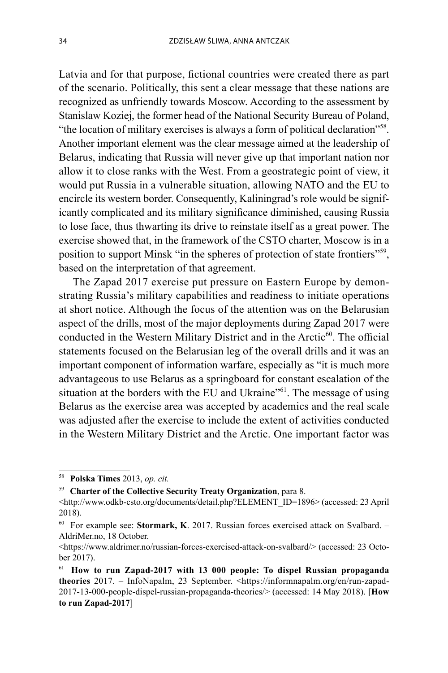Latvia and for that purpose, fictional countries were created there as part of the scenario. Politically, this sent a clear message that these nations are recognized as unfriendly towards Moscow. According to the assessment by Stanislaw Koziej, the former head of the National Security Bureau of Poland, "the location of military exercises is always a form of political declaration"<sup>58</sup>. Another important element was the clear message aimed at the leadership of Belarus, indicating that Russia will never give up that important nation nor allow it to close ranks with the West. From a geostrategic point of view, it would put Russia in a vulnerable situation, allowing NATO and the EU to encircle its western border. Consequently, Kaliningrad's role would be significantly complicated and its military significance diminished, causing Russia to lose face, thus thwarting its drive to reinstate itself as a great power. The exercise showed that, in the framework of the CSTO charter, Moscow is in a position to support Minsk "in the spheres of protection of state frontiers"<sup>59</sup>, based on the interpretation of that agreement.

The Zapad 2017 exercise put pressure on Eastern Europe by demonstrating Russia's military capabilities and readiness to initiate operations at short notice. Although the focus of the attention was on the Belarusian aspect of the drills, most of the major deployments during Zapad 2017 were conducted in the Western Military District and in the Arctic $60$ . The official statements focused on the Belarusian leg of the overall drills and it was an important component of information warfare, especially as "it is much more advantageous to use Belarus as a springboard for constant escalation of the situation at the borders with the EU and Ukraine"<sup>61</sup>. The message of using Belarus as the exercise area was accepted by academics and the real scale was adjusted after the exercise to include the extent of activities conducted in the Western Military District and the Arctic. One important factor was

<sup>58</sup>**Polska Times** 2013, *op. cit.*

<sup>59</sup>**Charter of the Collective Security Treaty Organization**, para 8.

<sup>&</sup>lt;http://www.odkb-csto.org/documents/detail.php?ELEMENT\_ID=1896> (accessed: 23 April 2018).

<sup>60</sup> For example see: **Stormark, K**. 2017. Russian forces exercised attack on Svalbard. – AldriMer.no, 18 October.

<sup>&</sup>lt;https://www.aldrimer.no/russian-forces-exercised-attack-on-svalbard/> (accessed: 23 October 2017).

<sup>61</sup>**How to run Zapad-2017 with 13 000 people: To dispel Russian propaganda theories** 2017. – InfoNapalm, 23 September. <https://informnapalm.org/en/run-zapad-2017-13-000-people-dispel-russian-propaganda-theories/> (accessed: 14 May 2018). [**How to run Zapad-2017**]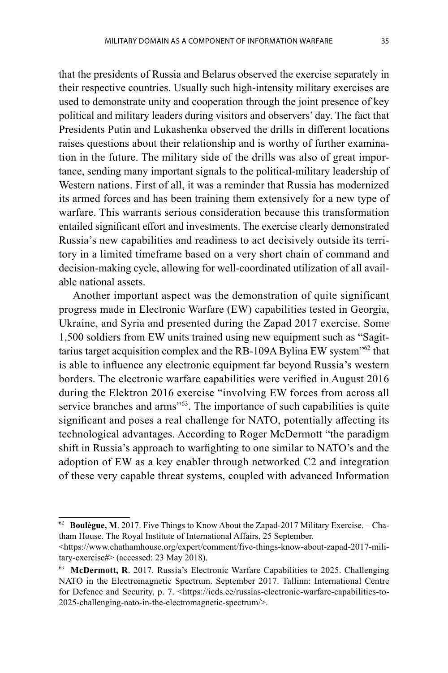that the presidents of Russia and Belarus observed the exercise separately in their respective countries. Usually such high-intensity military exercises are used to demonstrate unity and cooperation through the joint presence of key political and military leaders during visitors and observers' day. The fact that Presidents Putin and Lukashenka observed the drills in different locations raises questions about their relationship and is worthy of further examination in the future. The military side of the drills was also of great importance, sending many important signals to the political-military leadership of Western nations. First of all, it was a reminder that Russia has modernized its armed forces and has been training them extensively for a new type of warfare. This warrants serious consideration because this transformation entailed significant effort and investments. The exercise clearly demonstrated Russia's new capabilities and readiness to act decisively outside its territory in a limited timeframe based on a very short chain of command and decision-making cycle, allowing for well-coordinated utilization of all available national assets.

Another important aspect was the demonstration of quite significant progress made in Electronic Warfare (EW) capabilities tested in Georgia, Ukraine, and Syria and presented during the Zapad 2017 exercise. Some 1,500 soldiers from EW units trained using new equipment such as "Sagittarius target acquisition complex and the RB-109A Bylina EW system<sup>"62</sup> that is able to influence any electronic equipment far beyond Russia's western borders. The electronic warfare capabilities were verified in August 2016 during the Elektron 2016 exercise "involving EW forces from across all service branches and arms<sup>"63</sup>. The importance of such capabilities is quite significant and poses a real challenge for NATO, potentially affecting its technological advantages. According to Roger McDermott "the paradigm shift in Russia's approach to warfighting to one similar to NATO's and the adoption of EW as a key enabler through networked C2 and integration of these very capable threat systems, coupled with advanced Information

Boulègue, M. 2017. Five Things to Know About the Zapad-2017 Military Exercise. - Chatham House. The Royal Institute of International Affairs, 25 September.

<sup>&</sup>lt;https://www.chathamhouse.org/expert/comment/five-things-know-about-zapad-2017-military-exercise#> (accessed: 23 May 2018).

<sup>63</sup>**McDermott, R**. 2017. Russia's Electronic Warfare Capabilities to 2025. Challenging NATO in the Electromagnetic Spectrum. September 2017. Tallinn: International Centre for Defence and Security, p. 7. < https://icds.ee/russias-electronic-warfare-capabilities-to-2025-challenging-nato-in-the-electromagnetic-spectrum/>.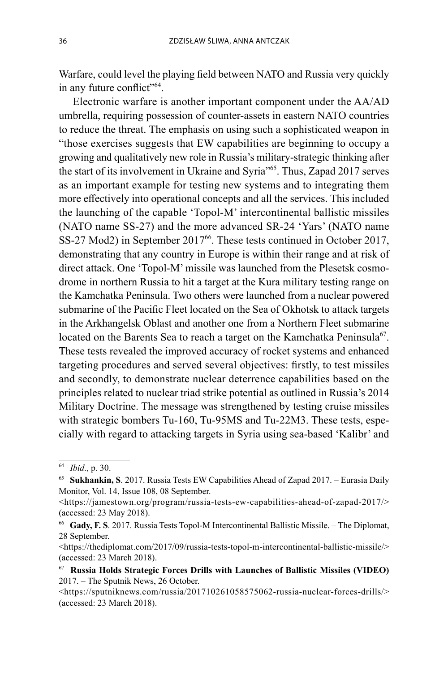Warfare, could level the playing field between NATO and Russia very quickly in any future conflict"<sup>64</sup>.

Electronic warfare is another important component under the AA/AD umbrella, requiring possession of counter-assets in eastern NATO countries to reduce the threat. The emphasis on using such a sophisticated weapon in "those exercises suggests that EW capabilities are beginning to occupy a growing and qualitatively new role in Russia's military-strategic thinking after the start of its involvement in Ukraine and Syria"65. Thus, Zapad 2017 serves as an important example for testing new systems and to integrating them more effectively into operational concepts and all the services. This included the launching of the capable 'Topol-M' intercontinental ballistic missiles (NATO name SS-27) and the more advanced SR-24 'Yars' (NATO name SS-27 Mod2) in September 2017<sup>66</sup>. These tests continued in October 2017, demonstrating that any country in Europe is within their range and at risk of direct attack. One 'Topol-M' missile was launched from the Plesetsk cosmodrome in northern Russia to hit a target at the Kura military testing range on the Kamchatka Peninsula. Two others were launched from a nuclear powered submarine of the Pacific Fleet located on the Sea of Okhotsk to attack targets in the Arkhangelsk Oblast and another one from a Northern Fleet submarine located on the Barents Sea to reach a target on the Kamchatka Peninsula<sup>67</sup>. These tests revealed the improved accuracy of rocket systems and enhanced targeting procedures and served several objectives: firstly, to test missiles and secondly, to demonstrate nuclear deterrence capabilities based on the principles related to nuclear triad strike potential as outlined in Russia's 2014 Military Doctrine. The message was strengthened by testing cruise missiles with strategic bombers Tu-160, Tu-95MS and Tu-22M3. These tests, especially with regard to attacking targets in Syria using sea-based 'Kalibr' and

<sup>64</sup>*Ibid*., p. 30.

<sup>65</sup>**Sukhankin, S**. 2017. Russia Tests EW Capabilities Ahead of Zapad 2017. – Eurasia Daily Monitor, Vol. 14, Issue 108, 08 September.

<sup>&</sup>lt;https://jamestown.org/program/russia-tests-ew-capabilities-ahead-of-zapad-2017/> (accessed: 23 May 2018).

<sup>66</sup>**Gady, F. S**. 2017. Russia Tests Topol-M Intercontinental Ballistic Missile. – The Diplomat, 28 September.

<sup>&</sup>lt;https://thediplomat.com/2017/09/russia-tests-topol-m-intercontinental-ballistic-missile/> (accessed: 23 March 2018).

<sup>67</sup>**Russia Holds Strategic Forces Drills with Launches of Ballistic Missiles (VIDEO)**  2017. – The Sputnik News, 26 October.

<sup>&</sup>lt;https://sputniknews.com/russia/201710261058575062-russia-nuclear-forces-drills/> (accessed: 23 March 2018).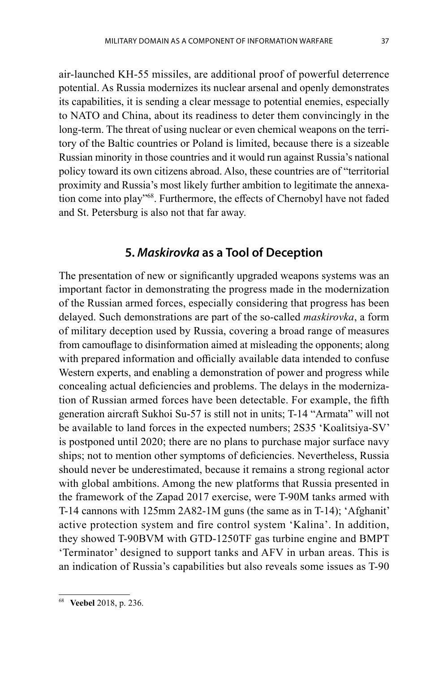air-launched KH-55 missiles, are additional proof of powerful deterrence potential. As Russia modernizes its nuclear arsenal and openly demonstrates its capabilities, it is sending a clear message to potential enemies, especially to NATO and China, about its readiness to deter them convincingly in the long-term. The threat of using nuclear or even chemical weapons on the territory of the Baltic countries or Poland is limited, because there is a sizeable Russian minority in those countries and it would run against Russia's national policy toward its own citizens abroad. Also, these countries are of "territorial proximity and Russia's most likely further ambition to legitimate the annexation come into play"<sup>68</sup>. Furthermore, the effects of Chernobyl have not faded and St. Petersburg is also not that far away.

#### **5.** *Maskirovka* **as a Tool of Deception**

The presentation of new or significantly upgraded weapons systems was an important factor in demonstrating the progress made in the modernization of the Russian armed forces, especially considering that progress has been delayed. Such demonstrations are part of the so-called *maskirovka*, a form of military deception used by Russia, covering a broad range of measures from camouflage to disinformation aimed at misleading the opponents; along with prepared information and officially available data intended to confuse Western experts, and enabling a demonstration of power and progress while concealing actual deficiencies and problems. The delays in the modernization of Russian armed forces have been detectable. For example, the fifth generation aircraft Sukhoi Su-57 is still not in units; T-14 "Armata" will not be available to land forces in the expected numbers; 2S35 'Koalitsiya-SV' is postponed until 2020; there are no plans to purchase major surface navy ships; not to mention other symptoms of deficiencies. Nevertheless, Russia should never be underestimated, because it remains a strong regional actor with global ambitions. Among the new platforms that Russia presented in the framework of the Zapad 2017 exercise, were T-90M tanks armed with T-14 cannons with 125mm 2А82-1М guns (the same as in T-14); 'Afghanit' active protection system and fire control system 'Kalina'. In addition, they showed T-90BVM with GTD-1250TF gas turbine engine and BMPT 'Terminator' designed to support tanks and AFV in urban areas. This is an indication of Russia's capabilities but also reveals some issues as T-90

<sup>68</sup> **Veebel** 2018, p. 236.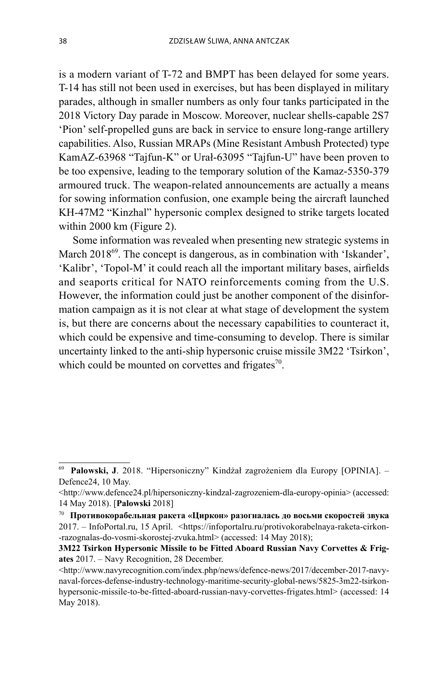is a modern variant of T-72 and BMPT has been delayed for some years. T-14 has still not been used in exercises, but has been displayed in military parades, although in smaller numbers as only four tanks participated in the 2018 Victory Day parade in Moscow. Moreover, nuclear shells-capable 2S7 'Pion' self-propelled guns are back in service to ensure long-range artillery capabilities. Also, Russian MRAPs (Mine Resistant Ambush Protected) type KamAZ-63968 "Tajfun-K" or Urał-63095 "Tajfun-U" have been proven to be too expensive, leading to the temporary solution of the Kamaz-5350-379 armoured truck. The weapon-related announcements are actually a means for sowing information confusion, one example being the aircraft launched KH-47M2 "Kinzhal" hypersonic complex designed to strike targets located within 2000 km (Figure 2).

Some information was revealed when presenting new strategic systems in March 2018<sup>69</sup>. The concept is dangerous, as in combination with 'Iskander', 'Kalibr', 'Topol-M' it could reach all the important military bases, airfields and seaports critical for NATO reinforcements coming from the U.S. However, the information could just be another component of the disinformation campaign as it is not clear at what stage of development the system is, but there are concerns about the necessary capabilities to counteract it, which could be expensive and time-consuming to develop. There is similar uncertainty linked to the anti-ship hypersonic cruise missile 3M22 'Tsirkon', which could be mounted on corvettes and frigates $\frac{70}{10}$ .

<sup>69</sup>**Palowski, J**. 2018. "Hipersoniczny" Kindżał zagrożeniem dla Europy [OPINIA]. – Defence24, 10 May.

<sup>&</sup>lt;http://www.defence24.pl/hipersoniczny-kindzal-zagrozeniem-dla-europy-opinia> (accessed: 14 May 2018). [**Palowski** 2018]

<sup>70</sup>**Противокорабельная ракета «Циркон» разогналась до восьми скоростей звука**  2017. – InfoPortal.ru, 15 April. <https://infoportalru.ru/protivokorabelnaya-raketa-cirkon--razognalas-do-vosmi-skorostej-zvuka.html> (accessed: 14 May 2018);

**<sup>3</sup>M22 Tsirkon Hypersonic Missile to be Fitted Aboard Russian Navy Corvettes & Frigates** 2017. – Navy Recognition, 28 December.

 $\langle$ http://www.navyrecognition.com/index.php/news/defence-news/2017/december-2017-navynaval-forces-defense-industry-technology-maritime-security-global-news/5825-3m22-tsirkonhypersonic-missile-to-be-fitted-aboard-russian-navy-corvettes-frigates.html> (accessed: 14 May 2018).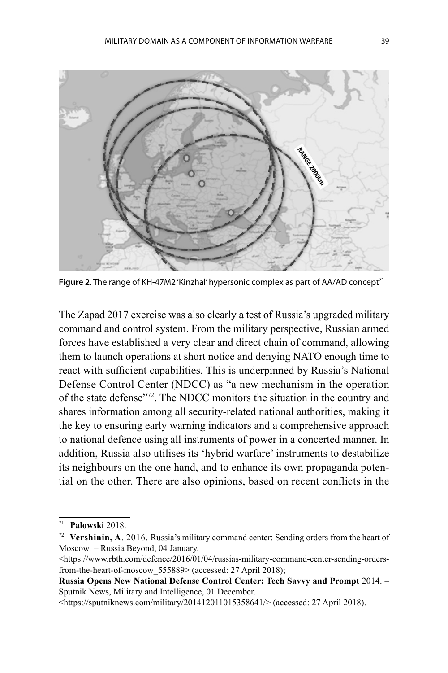

**Figure 2.** The range of KH-47M2 'Kinzhal' hypersonic complex as part of AA/AD concept<sup>71</sup>

The Zapad 2017 exercise was also clearly a test of Russia's upgraded military command and control system. From the military perspective, Russian armed forces have established a very clear and direct chain of command, allowing them to launch operations at short notice and denying NATO enough time to react with sufficient capabilities. This is underpinned by Russia's National Defense Control Center (NDCC) as "a new mechanism in the operation of the state defense"72. The NDCC monitors the situation in the country and shares information among all security-related national authorities, making it the key to ensuring early warning indicators and a comprehensive approach to national defence using all instruments of power in a concerted manner. In addition, Russia also utilises its 'hybrid warfare' instruments to destabilize its neighbours on the one hand, and to enhance its own propaganda potential on the other. There are also opinions, based on recent conflicts in the

<sup>71</sup>**Palowski** 2018.

<sup>72</sup>**Vershinin, A**. 2016. Russia's military command center: Sending orders from the heart of Moscow*.* – Russia Beyond, 04 January.

 $\langle$ https://www.rbth.com/defence/2016/01/04/russias-military-command-center-sending-ordersfrom-the-heart-of-moscow 555889> (accessed: 27 April 2018);

**Russia Opens New National Defense Control Center: Tech Savvy and Prompt** 2014. – Sputnik News, Military and Intelligence, 01 December.

 $\lt$ https://sputniknews.com/military/201412011015358641/> (accessed: 27 April 2018).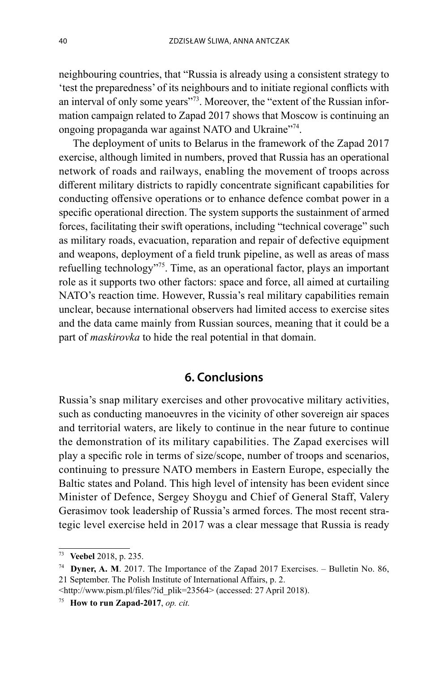neighbouring countries, that "Russia is already using a consistent strategy to 'test the preparedness' of its neighbours and to initiate regional conflicts with an interval of only some years"<sup>73</sup>. Moreover, the "extent of the Russian information campaign related to Zapad 2017 shows that Moscow is continuing an ongoing propaganda war against NATO and Ukraine<sup>"74</sup>.

The deployment of units to Belarus in the framework of the Zapad 2017 exercise, although limited in numbers, proved that Russia has an operational network of roads and railways, enabling the movement of troops across different military districts to rapidly concentrate significant capabilities for conducting offensive operations or to enhance defence combat power in a specific operational direction. The system supports the sustainment of armed forces, facilitating their swift operations, including "technical coverage" such as military roads, evacuation, reparation and repair of defective equipment and weapons, deployment of a field trunk pipeline, as well as areas of mass refuelling technology"75. Time, as an operational factor, plays an important role as it supports two other factors: space and force, all aimed at curtailing NATO's reaction time. However, Russia's real military capabilities remain unclear, because international observers had limited access to exercise sites and the data came mainly from Russian sources, meaning that it could be a part of *maskirovka* to hide the real potential in that domain.

#### **6. Conclusions**

Russia's snap military exercises and other provocative military activities, such as conducting manoeuvres in the vicinity of other sovereign air spaces and territorial waters, are likely to continue in the near future to continue the demonstration of its military capabilities. The Zapad exercises will play a specific role in terms of size/scope, number of troops and scenarios, continuing to pressure NATO members in Eastern Europe, especially the Baltic states and Poland. This high level of intensity has been evident since Minister of Defence, Sergey Shoygu and Chief of General Staff, Valery Gerasimov took leadership of Russia's armed forces. The most recent strategic level exercise held in 2017 was a clear message that Russia is ready

<sup>&</sup>lt;sup>73</sup> Veebel 2018, p. 235.<br><sup>74</sup> **Dyner, A. M**. 2017. The Importance of the Zapad 2017 Exercises. – Bulletin No. 86, 21 September. The Polish Institute of International Affairs, p. 2.

<sup>&</sup>lt;http://www.pism.pl/files/?id\_plik=23564> (accessed: 27 April 2018). 75 **How to run Zapad-2017**, *op. cit.*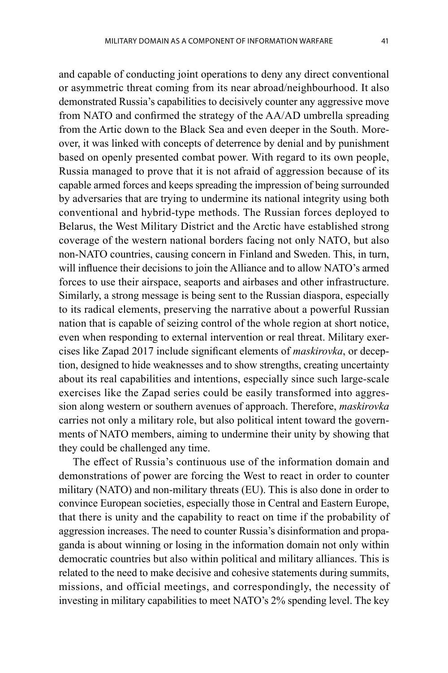and capable of conducting joint operations to deny any direct conventional or asymmetric threat coming from its near abroad/neighbourhood. It also demonstrated Russia's capabilities to decisively counter any aggressive move from NATO and confirmed the strategy of the AA/AD umbrella spreading from the Artic down to the Black Sea and even deeper in the South. Moreover, it was linked with concepts of deterrence by denial and by punishment based on openly presented combat power. With regard to its own people, Russia managed to prove that it is not afraid of aggression because of its capable armed forces and keeps spreading the impression of being surrounded by adversaries that are trying to undermine its national integrity using both conventional and hybrid-type methods. The Russian forces deployed to Belarus, the West Military District and the Arctic have established strong coverage of the western national borders facing not only NATO, but also non-NATO countries, causing concern in Finland and Sweden. This, in turn, will influence their decisions to join the Alliance and to allow NATO's armed forces to use their airspace, seaports and airbases and other infrastructure. Similarly, a strong message is being sent to the Russian diaspora, especially to its radical elements, preserving the narrative about a powerful Russian nation that is capable of seizing control of the whole region at short notice, even when responding to external intervention or real threat. Military exercises like Zapad 2017 include significant elements of *maskirovka*, or deception, designed to hide weaknesses and to show strengths, creating uncertainty about its real capabilities and intentions, especially since such large-scale exercises like the Zapad series could be easily transformed into aggression along western or southern avenues of approach. Therefore, *maskirovka* carries not only a military role, but also political intent toward the governments of NATO members, aiming to undermine their unity by showing that they could be challenged any time.

The effect of Russia's continuous use of the information domain and demonstrations of power are forcing the West to react in order to counter military (NATO) and non-military threats (EU). This is also done in order to convince European societies, especially those in Central and Eastern Europe, that there is unity and the capability to react on time if the probability of aggression increases. The need to counter Russia's disinformation and propaganda is about winning or losing in the information domain not only within democratic countries but also within political and military alliances. This is related to the need to make decisive and cohesive statements during summits, missions, and official meetings, and correspondingly, the necessity of investing in military capabilities to meet NATO's 2% spending level. The key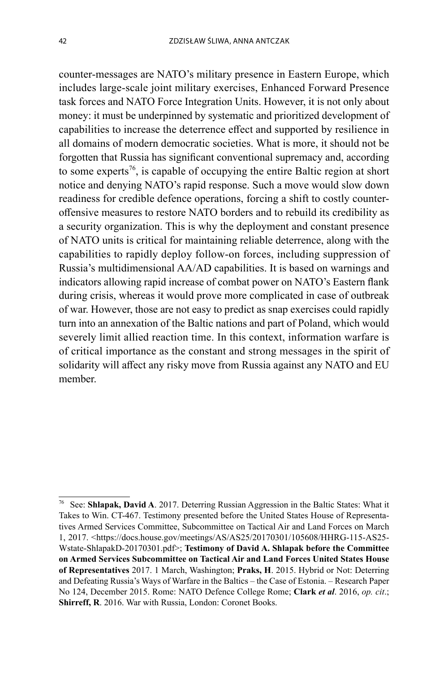counter-messages are NATO's military presence in Eastern Europe, which includes large-scale joint military exercises, Enhanced Forward Presence task forces and NATO Force Integration Units. However, it is not only about money: it must be underpinned by systematic and prioritized development of capabilities to increase the deterrence effect and supported by resilience in all domains of modern democratic societies. What is more, it should not be forgotten that Russia has significant conventional supremacy and, according to some experts<sup>76</sup>, is capable of occupying the entire Baltic region at short notice and denying NATO's rapid response. Such a move would slow down readiness for credible defence operations, forcing a shift to costly counteroffensive measures to restore NATO borders and to rebuild its credibility as a security organization. This is why the deployment and constant presence of NATO units is critical for maintaining reliable deterrence, along with the capabilities to rapidly deploy follow-on forces, including suppression of Russia's multidimensional AA/AD capabilities. It is based on warnings and indicators allowing rapid increase of combat power on NATO's Eastern flank during crisis, whereas it would prove more complicated in case of outbreak of war. However, those are not easy to predict as snap exercises could rapidly turn into an annexation of the Baltic nations and part of Poland, which would severely limit allied reaction time. In this context, information warfare is of critical importance as the constant and strong messages in the spirit of solidarity will affect any risky move from Russia against any NATO and EU member.

<sup>76</sup> See: **Shlapak, David A**. 2017. Deterring Russian Aggression in the Baltic States: What it Takes to Win. CT-467. Testimony presented before the United States House of Representatives Armed Services Committee, Subcommittee on Tactical Air and Land Forces on March 1, 2017. <https://docs.house.gov/meetings/AS/AS25/20170301/105608/HHRG-115-AS25- Wstate-ShlapakD-20170301.pdf>; **Testimony of David A. Shlapak before the Committee on Armed Services Subcommittee on Tactical Air and Land Forces United States House of Representatives** 2017. 1 March, Washington; **Praks, H**. 2015. Hybrid or Not: Deterring and Defeating Russia's Ways of Warfare in the Baltics – the Case of Estonia. – Research Paper No 124, December 2015. Rome: NATO Defence College Rome; **Clark** *et al*. 2016, *op. cit*.; **Shirreff, R**. 2016. War with Russia, London: Coronet Books.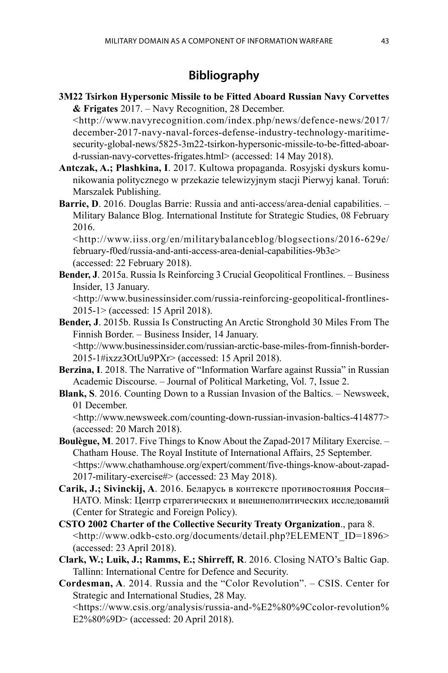## **Bibliography**

**3M22 Tsirkon Hypersonic Missile to be Fitted Aboard Russian Navy Corvettes & Frigates** 2017. – Navy Recognition, 28 December.

 <http://www.navyrecognition.com/index.php/news/defence-news/2017/ december-2017-navy-naval-forces-defense-industry-technology-maritimesecurity-global-news/5825-3m22-tsirkon-hypersonic-missile-to-be-fitted-aboard-russian-navy-corvettes-frigates.html> (accessed: 14 May 2018).

- **Antczak, A.; Plashkina, I**. 2017. Kultowa propaganda. Rosyjski dyskurs komunikowania politycznego w przekazie telewizyjnym stacji Pierwyj kanał. Toruń: Marszalek Publishing.
- **Barrie, D**. 2016. Douglas Barrie: Russia and anti-access/area-denial capabilities. Military Balance Blog. International Institute for Strategic Studies, 08 February 2016.

 <http://www.iiss.org/en/militarybalanceblog/blogsections/2016-629e/ february-f0ed/russia-and-anti-access-area-denial-capabilities-9b3e> (accessed: 22 February 2018).

**Bender, J**. 2015a. Russia Is Reinforcing 3 Crucial Geopolitical Frontlines. – Business Insider, 13 January.

 <http://www.businessinsider.com/russia-reinforcing-geopolitical-frontlines-2015-1> (accessed: 15 April 2018).

- **Bender, J**. 2015b. Russia Is Constructing An Arctic Stronghold 30 Miles From The Finnish Border. – Business Insider, 14 January. <http://www.businessinsider.com/russian-arctic-base-miles-from-finnish-border-2015-1#ixzz3OtUu9PXr> (accessed: 15 April 2018).
- **Berzina, I**. 2018. The Narrative of "Information Warfare against Russia" in Russian Academic Discourse. – Journal of Political Marketing, Vol. 7, Issue 2.
- **Blank, S**. 2016. Counting Down to a Russian Invasion of the Baltics. Newsweek, 01 December.

 <http://www.newsweek.com/counting-down-russian-invasion-baltics-414877> (accessed: 20 March 2018).

- **Boulègue, M**. 2017. Five Things to Know About the Zapad-2017 Military Exercise. Chatham House. The Royal Institute of International Affairs, 25 September. <https://www.chathamhouse.org/expert/comment/five-things-know-about-zapad-2017-military-exercise#> (accessed: 23 May 2018).
- **Carik, J.; Sivinckij, A**. 2016. Беларусь в контексте противостояния Россия– НАТО. Minsk: Центр стратегических и внешнеполитических исследований (Center for Strategic and Foreign Policy).
- **CSTO 2002 Charter of the Collective Security Treaty Organization**., para 8. <http://www.odkb-csto.org/documents/detail.php?ELEMENT\_ID=1896> (accessed: 23 April 2018).
- **Clark, W.; Luik, J.; Ramms, E.; Shirreff, R**. 2016. Closing NATO's Baltic Gap. Tallinn: International Centre for Defence and Security.

**Cordesman, A**. 2014. Russia and the "Color Revolution". – CSIS. Center for Strategic and International Studies, 28 May. <https://www.csis.org/analysis/russia-and-%E2%80%9Ccolor-revolution%

E2%80%9D> (accessed: 20 April 2018).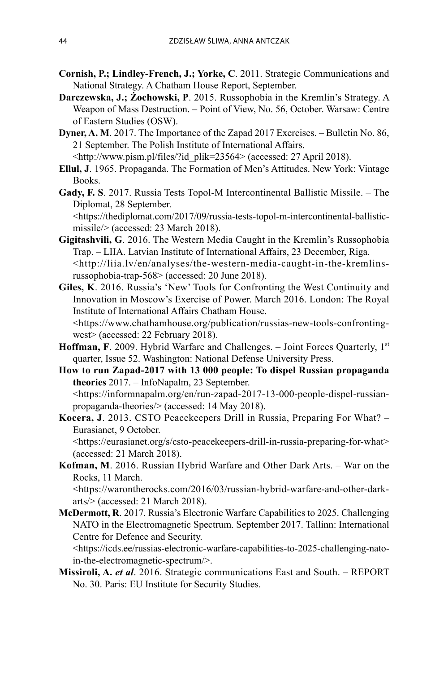- **Cornish, P.; Lindley-French, J.; Yorke, C**. 2011. Strategic Communications and National Strategy. A Chatham House Report, September.
- **Darczewska, J.; Żochowski, P**. 2015. Russophobia in the Kremlin's Strategy. A Weapon of Mass Destruction. – Point of View, No. 56, October. Warsaw: Centre of Eastern Studies (OSW).
- **Dyner, A. M**. 2017. The Importance of the Zapad 2017 Exercises. Bulletin No. 86, 21 September. The Polish Institute of International Affairs. <http://www.pism.pl/files/?id\_plik=23564> (accessed: 27 April 2018).
- **Ellul, J**. 1965. Propaganda. The Formation of Men's Attitudes. New York: Vintage Books.
- **Gady, F. S**. 2017. Russia Tests Topol-M Intercontinental Ballistic Missile. The Diplomat, 28 September.

 <https://thediplomat.com/2017/09/russia-tests-topol-m-intercontinental-ballisticmissile/> (accessed: 23 March 2018).

- **Gigitashvili, G**. 2016. The Western Media Caught in the Kremlin's Russophobia Trap. – LIIA. Latvian Institute of International Affairs, 23 December, Riga. <http://liia.lv/en/analyses/the-western-media-caught-in-the-kremlinsrussophobia-trap-568> (accessed: 20 June 2018).
- **Giles, K**. 2016. Russia's 'New' Tools for Confronting the West Continuity and Innovation in Moscow's Exercise of Power. March 2016. London: The Royal Institute of International Affairs Chatham House. <https://www.chathamhouse.org/publication/russias-new-tools-confrontingwest> (accessed: 22 February 2018).
- **Hoffman, F**. 2009. Hybrid Warfare and Challenges. Joint Forces Ouarterly, 1<sup>st</sup> quarter, Issue 52. Washington: National Defense University Press.
- **How to run Zapad-2017 with 13 000 people: To dispel Russian propaganda theories** 2017. – InfoNapalm, 23 September. <https://informnapalm.org/en/run-zapad-2017-13-000-people-dispel-russianpropaganda-theories/> (accessed: 14 May 2018).
- **Kocera, J**. 2013. CSTO Peacekeepers Drill in Russia, Preparing For What? Eurasianet, 9 October.

 <https://eurasianet.org/s/csto-peacekeepers-drill-in-russia-preparing-for-what> (accessed: 21 March 2018).

**Kofman, M**. 2016. Russian Hybrid Warfare and Other Dark Arts. – War on the Rocks, 11 March.

 <https://warontherocks.com/2016/03/russian-hybrid-warfare-and-other-darkarts/> (accessed: 21 March 2018).

**McDermott, R**. 2017. Russia's Electronic Warfare Capabilities to 2025. Challenging NATO in the Electromagnetic Spectrum. September 2017. Tallinn: International Centre for Defence and Security.

 <https://icds.ee/russias-electronic-warfare-capabilities-to-2025-challenging-natoin-the-electromagnetic-spectrum/>.

**Missiroli, A.** *et al*. 2016. Strategic communications East and South. – REPORT No. 30. Paris: EU Institute for Security Studies.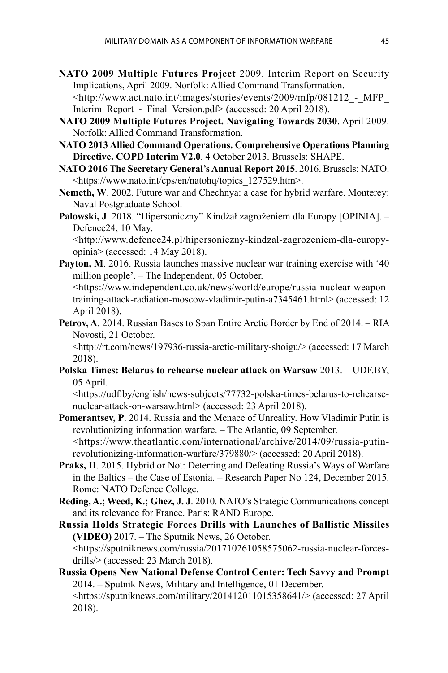- **NATO 2009 Multiple Futures Project** 2009. Interim Report on Security Implications, April 2009. Norfolk: Allied Command Transformation. <http://www.act.nato.int/images/stories/events/2009/mfp/081212\_-\_MFP\_ Interim\_Report - Final\_Version.pdf> (accessed: 20 April 2018).
- **NATO 2009 Multiple Futures Project. Navigating Towards 2030**. April 2009. Norfolk: Allied Command Transformation.
- **NATO 2013 Allied Command Operations. Comprehensive Operations Planning Directive. COPD Interim V2.0**. 4 October 2013. Brussels: SHAPE.
- **NATO 2016 The Secretary General's Annual Report 2015**. 2016. Brussels: NATO. <https://www.nato.int/cps/en/natohq/topics\_127529.htm>.
- **Nemeth, W**. 2002. Future war and Chechnya: a case for hybrid warfare. Monterey: Naval Postgraduate School.
- **Palowski, J**. 2018. "Hipersoniczny" Kindżał zagrożeniem dla Europy [OPINIA]. Defence24, 10 May.

 <http://www.defence24.pl/hipersoniczny-kindzal-zagrozeniem-dla-europyopinia> (accessed: 14 May 2018).

**Payton, M.** 2016. Russia launches massive nuclear war training exercise with '40 million people'. – The Independent, 05 October.

 <https://www.independent.co.uk/news/world/europe/russia-nuclear-weapontraining-attack-radiation-moscow-vladimir-putin-a7345461.html> (accessed: 12 April 2018).

**Petrov, A**. 2014. Russian Bases to Span Entire Arctic Border by End of 2014. – RIA Novosti, 21 October.

 <http://rt.com/news/197936-russia-arctic-military-shoigu/> (accessed: 17 March 2018).

**Polska Times: Belarus to rehearse nuclear attack on Warsaw** 2013. – UDF.BY, 05 April.

 <https://udf.by/english/news-subjects/77732-polska-times-belarus-to-rehearsenuclear-attack-on-warsaw.html> (accessed: 23 April 2018).

- **Pomerantsev, P**. 2014. Russia and the Menace of Unreality. How Vladimir Putin is revolutionizing information warfare. – The Atlantic, 09 September. <https://www.theatlantic.com/international/archive/2014/09/russia-putinrevolutionizing-information-warfare/379880/> (accessed: 20 April 2018).
- **Praks, H**. 2015. Hybrid or Not: Deterring and Defeating Russia's Ways of Warfare in the Baltics – the Case of Estonia. – Research Paper No 124, December 2015. Rome: NATO Defence College.
- **Reding, A.; Weed, K.; Ghez, J. J**. 2010. NATO's Strategic Communications concept and its relevance for France. Paris: RAND Europe.
- **Russia Holds Strategic Forces Drills with Launches of Ballistic Missiles (VIDEO)** 2017. – The Sputnik News, 26 October. <https://sputniknews.com/russia/201710261058575062-russia-nuclear-forcesdrills/> (accessed: 23 March 2018).
- **Russia Opens New National Defense Control Center: Tech Savvy and Prompt** 2014. – Sputnik News, Military and Intelligence, 01 December. <https://sputniknews.com/military/201412011015358641/> (accessed: 27 April 2018).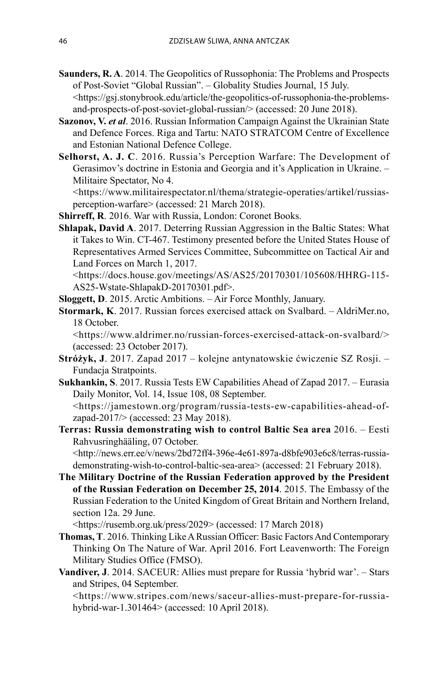- **Saunders, R. A**. 2014. The Geopolitics of Russophonia: The Problems and Prospects of Post-Soviet "Global Russian". – Globality Studies Journal, 15 July. <https://gsj.stonybrook.edu/article/the-geopolitics-of-russophonia-the-problemsand-prospects-of-post-soviet-global-russian/> (accessed: 20 June 2018).
- **Sazonov, V.** *et al*. 2016. Russian Information Campaign Against the Ukrainian State and Defence Forces. Riga and Tartu: NATO STRATCOM Centre of Excellence and Estonian National Defence College.
- **Selhorst, A. J. C**. 2016. Russia's Perception Warfare: The Development of Gerasimov's doctrine in Estonia and Georgia and it's Application in Ukraine. – Militaire Spectator, No 4.

 <https://www.militairespectator.nl/thema/strategie-operaties/artikel/russiasperception-warfare> (accessed: 21 March 2018).

- **Shirreff, R**. 2016. War with Russia, London: Coronet Books.
- **Shlapak, David A**. 2017. Deterring Russian Aggression in the Baltic States: What it Takes to Win. CT-467. Testimony presented before the United States House of Representatives Armed Services Committee, Subcommittee on Tactical Air and Land Forces on March 1, 2017.

 <https://docs.house.gov/meetings/AS/AS25/20170301/105608/HHRG-115- AS25-Wstate-ShlapakD-20170301.pdf>.

- **Sloggett, D**. 2015. Arctic Ambitions. Air Force Monthly, January.
- **Stormark, K**. 2017. Russian forces exercised attack on Svalbard. AldriMer.no, 18 October.

 <https://www.aldrimer.no/russian-forces-exercised-attack-on-svalbard/> (accessed: 23 October 2017).

- **Stróżyk, J**. 2017. Zapad 2017 kolejne antynatowskie ćwiczenie SZ Rosji. Fundacja Stratpoints.
- **Sukhankin, S**. 2017. Russia Tests EW Capabilities Ahead of Zapad 2017. Eurasia Daily Monitor, Vol. 14, Issue 108, 08 September.

 <https://jamestown.org/program/russia-tests-ew-capabilities-ahead-ofzapad-2017/> (accessed: 23 May 2018).

**Terras: Russia demonstrating wish to control Baltic Sea area** 2016. – Eesti Rahvusringhääling, 07 October.

 <http://news.err.ee/v/news/2bd72ff4-396e-4e61-897a-d8bfe903e6c8/terras-russiademonstrating-wish-to-control-baltic-sea-area> (accessed: 21 February 2018).

**The Military Doctrine of the Russian Federation approved by the President of the Russian Federation on December 25, 2014**. 2015. The Embassy of the Russian Federation to the United Kingdom of Great Britain and Northern Ireland, section 12a. 29 June.

<https://rusemb.org.uk/press/2029> (accessed: 17 March 2018)

- **Thomas, T**. 2016. Thinking Like A Russian Officer: Basic Factors And Contemporary Thinking On The Nature of War. April 2016. Fort Leavenworth: The Foreign Military Studies Office (FMSO).
- **Vandiver, J**. 2014. SACEUR: Allies must prepare for Russia 'hybrid war'.Stars and Stripes, 04 September.

 <https://www.stripes.com/news/saceur-allies-must-prepare-for-russiahybrid-war-1.301464> (accessed: 10 April 2018).